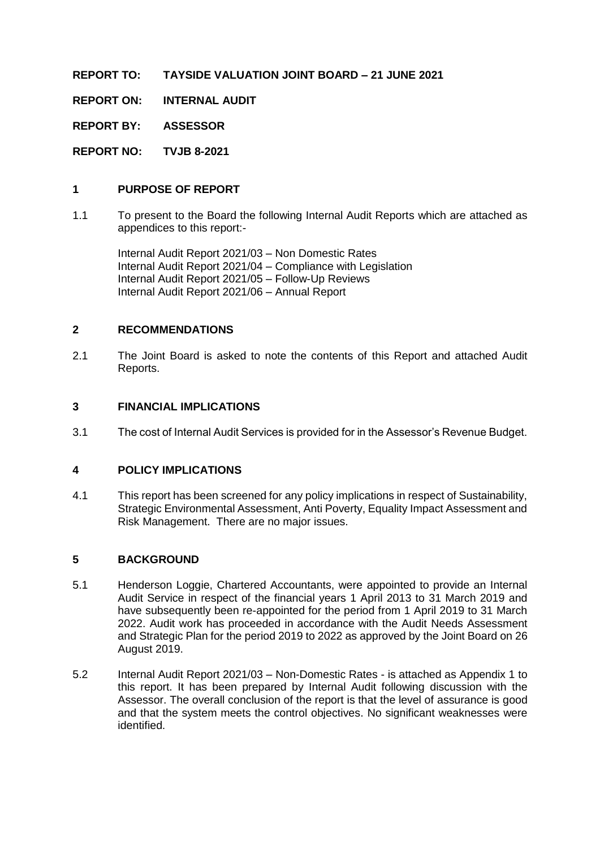**REPORT TO: TAYSIDE VALUATION JOINT BOARD – 21 JUNE 2021**

**REPORT ON: INTERNAL AUDIT**

**REPORT BY: ASSESSOR**

**REPORT NO: TVJB 8-2021**

#### **1 PURPOSE OF REPORT**

1.1 To present to the Board the following Internal Audit Reports which are attached as appendices to this report:-

Internal Audit Report 2021/03 – Non Domestic Rates Internal Audit Report 2021/04 – Compliance with Legislation Internal Audit Report 2021/05 – Follow-Up Reviews Internal Audit Report 2021/06 – Annual Report

#### **2 RECOMMENDATIONS**

2.1 The Joint Board is asked to note the contents of this Report and attached Audit Reports.

#### **3 FINANCIAL IMPLICATIONS**

3.1 The cost of Internal Audit Services is provided for in the Assessor's Revenue Budget.

#### **4 POLICY IMPLICATIONS**

4.1 This report has been screened for any policy implications in respect of Sustainability, Strategic Environmental Assessment, Anti Poverty, Equality Impact Assessment and Risk Management. There are no major issues.

#### **5 BACKGROUND**

- 5.1 Henderson Loggie, Chartered Accountants, were appointed to provide an Internal Audit Service in respect of the financial years 1 April 2013 to 31 March 2019 and have subsequently been re-appointed for the period from 1 April 2019 to 31 March 2022. Audit work has proceeded in accordance with the Audit Needs Assessment and Strategic Plan for the period 2019 to 2022 as approved by the Joint Board on 26 August 2019.
- 5.2 Internal Audit Report 2021/03 Non-Domestic Rates is attached as Appendix 1 to this report. It has been prepared by Internal Audit following discussion with the Assessor. The overall conclusion of the report is that the level of assurance is good and that the system meets the control objectives. No significant weaknesses were identified.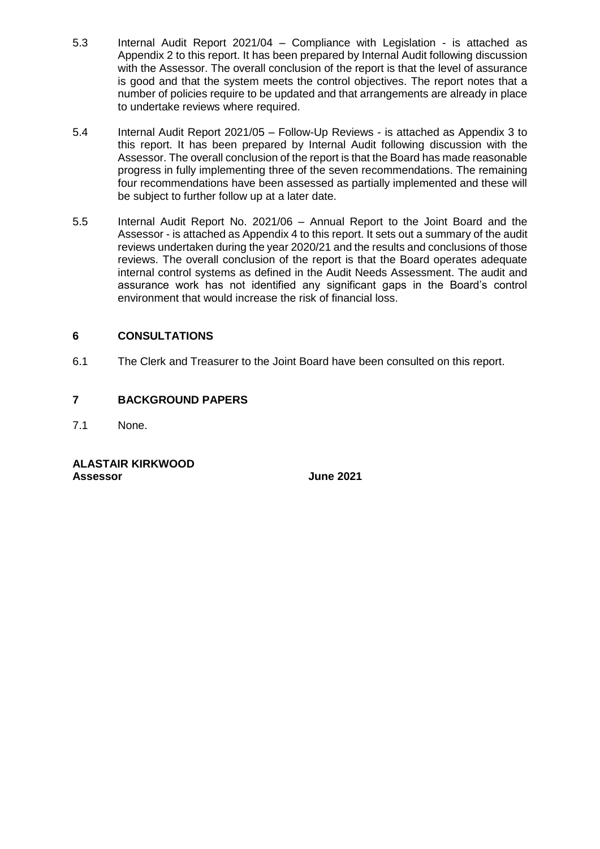- 5.3 Internal Audit Report 2021/04 Compliance with Legislation is attached as Appendix 2 to this report. It has been prepared by Internal Audit following discussion with the Assessor. The overall conclusion of the report is that the level of assurance is good and that the system meets the control objectives. The report notes that a number of policies require to be updated and that arrangements are already in place to undertake reviews where required.
- 5.4 Internal Audit Report 2021/05 Follow-Up Reviews is attached as Appendix 3 to this report. It has been prepared by Internal Audit following discussion with the Assessor. The overall conclusion of the report is that the Board has made reasonable progress in fully implementing three of the seven recommendations. The remaining four recommendations have been assessed as partially implemented and these will be subject to further follow up at a later date.
- 5.5 Internal Audit Report No. 2021/06 Annual Report to the Joint Board and the Assessor - is attached as Appendix 4 to this report. It sets out a summary of the audit reviews undertaken during the year 2020/21 and the results and conclusions of those reviews. The overall conclusion of the report is that the Board operates adequate internal control systems as defined in the Audit Needs Assessment. The audit and assurance work has not identified any significant gaps in the Board's control environment that would increase the risk of financial loss.

#### **6 CONSULTATIONS**

6.1 The Clerk and Treasurer to the Joint Board have been consulted on this report.

#### **7 BACKGROUND PAPERS**

7.1 None.

#### **ALASTAIR KIRKWOOD Assessor June 2021**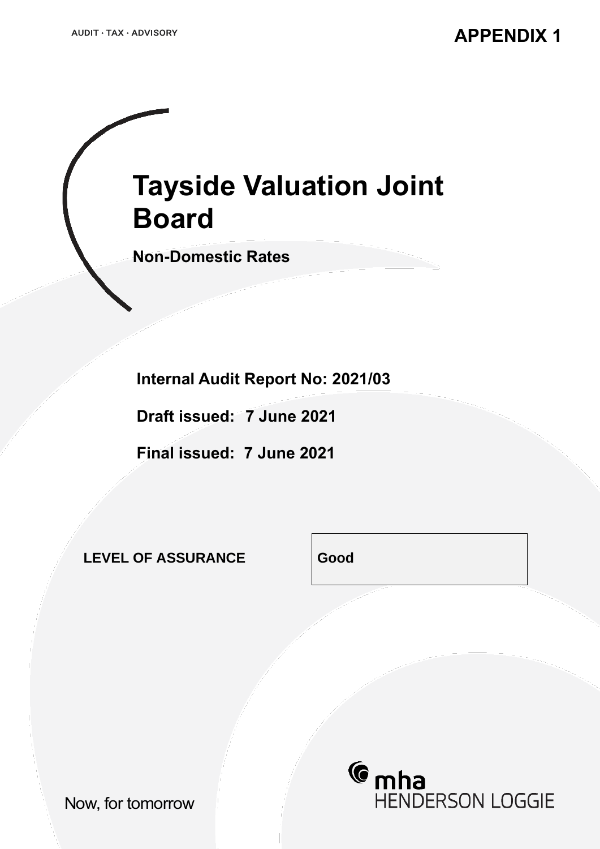# **Tayside Valuation Joint Board**

**Non-Domestic Rates**

**Internal Audit Report No: 2021/03**

**Draft issued: 7 June 2021**

**Final issued: 7 June 2021**

**LEVEL OF ASSURANCE Good**



Now, for tomorrow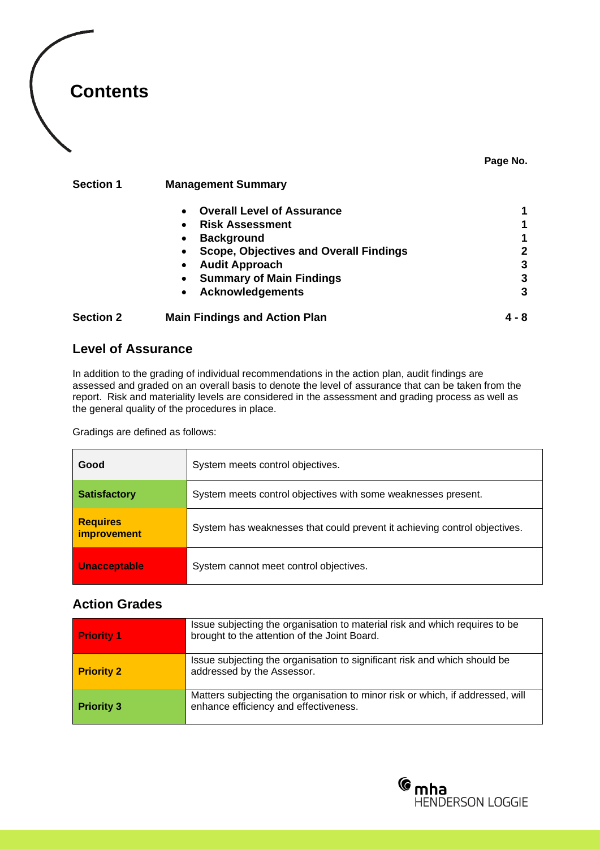

#### **Page No.**

#### **Section 1 Management Summary**

|                  | <b>Overall Level of Assurance</b><br>$\bullet$             |       |
|------------------|------------------------------------------------------------|-------|
|                  | <b>Risk Assessment</b><br>$\bullet$                        |       |
|                  | <b>Background</b><br>$\bullet$                             |       |
|                  | <b>Scope, Objectives and Overall Findings</b><br>$\bullet$ | 2     |
|                  | <b>Audit Approach</b><br>$\bullet$                         | 3     |
|                  | <b>Summary of Main Findings</b><br>$\bullet$               | 3     |
|                  | <b>Acknowledgements</b><br>$\bullet$                       | 3     |
| <b>Section 2</b> | <b>Main Findings and Action Plan</b>                       | 4 - 8 |

#### **Level of Assurance**

In addition to the grading of individual recommendations in the action plan, audit findings are assessed and graded on an overall basis to denote the level of assurance that can be taken from the report. Risk and materiality levels are considered in the assessment and grading process as well as the general quality of the procedures in place.

Gradings are defined as follows:

| Good                                  | System meets control objectives.                                          |  |  |
|---------------------------------------|---------------------------------------------------------------------------|--|--|
| <b>Satisfactory</b>                   | System meets control objectives with some weaknesses present.             |  |  |
| <b>Requires</b><br><i>improvement</i> | System has weaknesses that could prevent it achieving control objectives. |  |  |
| <b>Unacceptable</b>                   | System cannot meet control objectives.                                    |  |  |

### **Action Grades**

| <b>Priority 1</b> | Issue subjecting the organisation to material risk and which requires to be<br>brought to the attention of the Joint Board. |
|-------------------|-----------------------------------------------------------------------------------------------------------------------------|
| <b>Priority 2</b> | Issue subjecting the organisation to significant risk and which should be<br>addressed by the Assessor.                     |
| <b>Priority 3</b> | Matters subjecting the organisation to minor risk or which, if addressed, will<br>enhance efficiency and effectiveness.     |

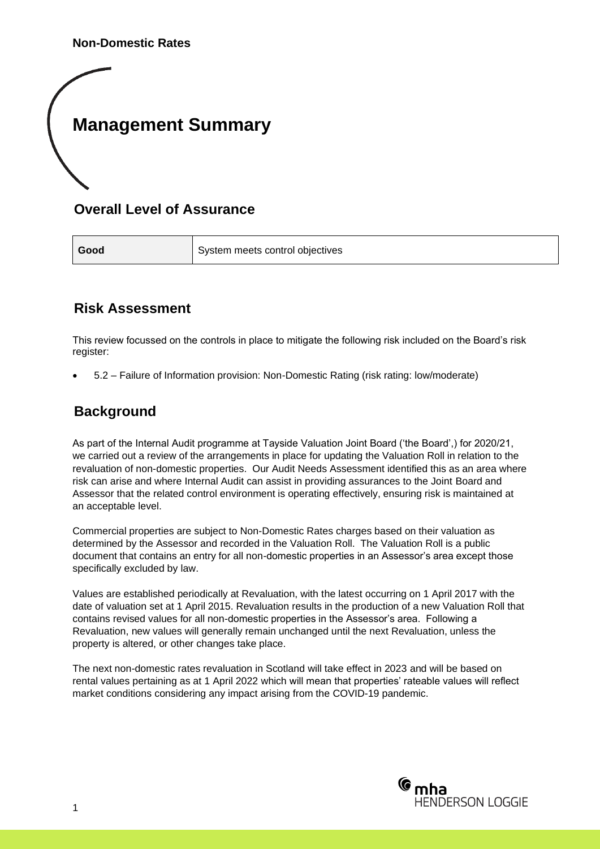**Non-Domestic Rates** 

## **Management Summary**

### **Overall Level of Assurance**

**Good** System meets control objectives

### **Risk Assessment**

This review focussed on the controls in place to mitigate the following risk included on the Board's risk register:

• 5.2 – Failure of Information provision: Non-Domestic Rating (risk rating: low/moderate)

### **Background**

As part of the Internal Audit programme at Tayside Valuation Joint Board ('the Board',) for 2020/21, we carried out a review of the arrangements in place for updating the Valuation Roll in relation to the revaluation of non-domestic properties. Our Audit Needs Assessment identified this as an area where risk can arise and where Internal Audit can assist in providing assurances to the Joint Board and Assessor that the related control environment is operating effectively, ensuring risk is maintained at an acceptable level.

Commercial properties are subject to Non-Domestic Rates charges based on their valuation as determined by the Assessor and recorded in the Valuation Roll. The Valuation Roll is a public document that contains an entry for all non-domestic properties in an Assessor's area except those specifically excluded by law.

Values are established periodically at Revaluation, with the latest occurring on 1 April 2017 with the date of valuation set at 1 April 2015. Revaluation results in the production of a new Valuation Roll that contains revised values for all non-domestic properties in the Assessor's area. Following a Revaluation, new values will generally remain unchanged until the next Revaluation, unless the property is altered, or other changes take place.

The next non-domestic rates revaluation in Scotland will take effect in 2023 and will be based on rental values pertaining as at 1 April 2022 which will mean that properties' rateable values will reflect market conditions considering any impact arising from the COVID-19 pandemic.

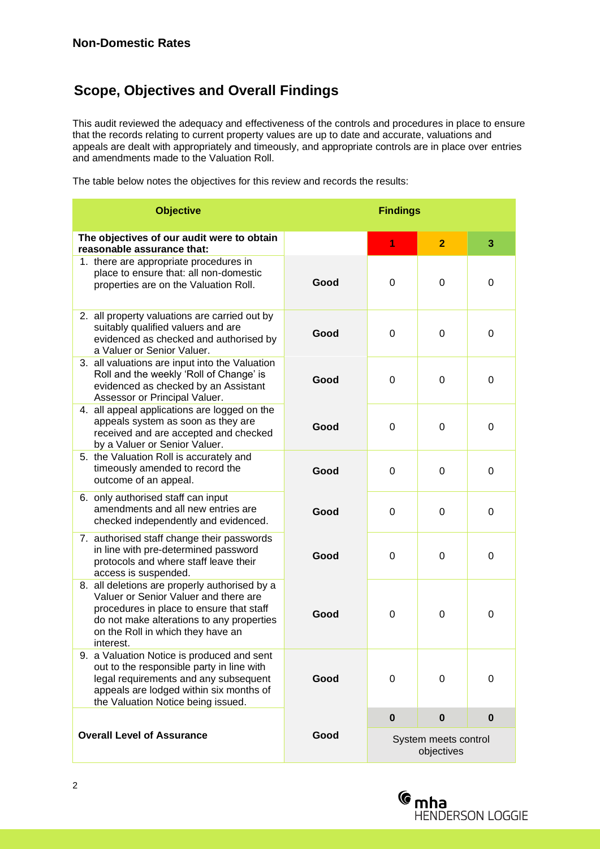### **Scope, Objectives and Overall Findings**

This audit reviewed the adequacy and effectiveness of the controls and procedures in place to ensure that the records relating to current property values are up to date and accurate, valuations and appeals are dealt with appropriately and timeously, and appropriate controls are in place over entries and amendments made to the Valuation Roll.

The table below notes the objectives for this review and records the results:

| <b>Objective</b>                                                                                                                                                                                                                  |      | <b>Findings</b> |                                    |          |
|-----------------------------------------------------------------------------------------------------------------------------------------------------------------------------------------------------------------------------------|------|-----------------|------------------------------------|----------|
| The objectives of our audit were to obtain<br>reasonable assurance that:                                                                                                                                                          |      | 1               | $\overline{2}$                     | 3        |
| 1. there are appropriate procedures in<br>place to ensure that: all non-domestic<br>properties are on the Valuation Roll.                                                                                                         | Good | 0               | $\Omega$                           | $\Omega$ |
| 2. all property valuations are carried out by<br>suitably qualified valuers and are<br>evidenced as checked and authorised by<br>a Valuer or Senior Valuer.                                                                       | Good | 0               | 0                                  | 0        |
| 3. all valuations are input into the Valuation<br>Roll and the weekly 'Roll of Change' is<br>evidenced as checked by an Assistant<br>Assessor or Principal Valuer.                                                                | Good | $\Omega$        | $\Omega$                           | $\Omega$ |
| 4. all appeal applications are logged on the<br>appeals system as soon as they are<br>received and are accepted and checked<br>by a Valuer or Senior Valuer.                                                                      | Good | 0               | $\Omega$                           | $\Omega$ |
| 5. the Valuation Roll is accurately and<br>timeously amended to record the<br>outcome of an appeal.                                                                                                                               | Good | 0               | $\Omega$                           | $\Omega$ |
| 6. only authorised staff can input<br>amendments and all new entries are<br>checked independently and evidenced.                                                                                                                  | Good | 0               | $\Omega$                           | $\Omega$ |
| 7. authorised staff change their passwords<br>in line with pre-determined password<br>protocols and where staff leave their<br>access is suspended.                                                                               | Good | $\Omega$        | $\Omega$                           | $\Omega$ |
| 8. all deletions are properly authorised by a<br>Valuer or Senior Valuer and there are<br>procedures in place to ensure that staff<br>do not make alterations to any properties<br>on the Roll in which they have an<br>interest. | Good | 0               | $\Omega$                           | $\Omega$ |
| 9. a Valuation Notice is produced and sent<br>out to the responsible party in line with<br>legal requirements and any subsequent<br>appeals are lodged within six months of<br>the Valuation Notice being issued.                 | Good | 0               | 0                                  | 0        |
|                                                                                                                                                                                                                                   |      | $\bf{0}$        | $\bf{0}$                           | $\bf{0}$ |
| <b>Overall Level of Assurance</b>                                                                                                                                                                                                 | Good |                 | System meets control<br>objectives |          |

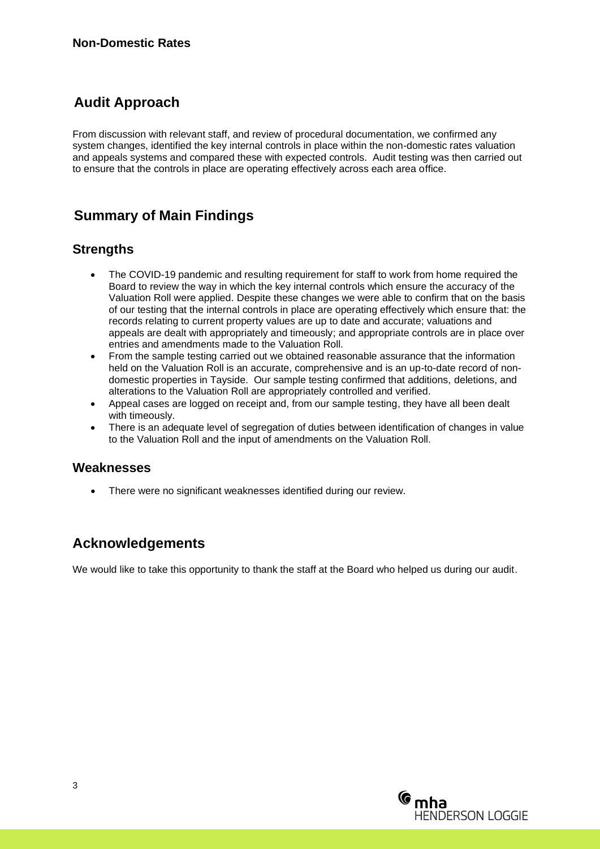### **Audit Approach**

From discussion with relevant staff, and review of procedural documentation, we confirmed any system changes, identified the key internal controls in place within the non-domestic rates valuation and appeals systems and compared these with expected controls. Audit testing was then carried out to ensure that the controls in place are operating effectively across each area office.

### **Summary of Main Findings**

### **Strengths**

- The COVID-19 pandemic and resulting requirement for staff to work from home required the Board to review the way in which the key internal controls which ensure the accuracy of the Valuation Roll were applied. Despite these changes we were able to confirm that on the basis of our testing that the internal controls in place are operating effectively which ensure that: the records relating to current property values are up to date and accurate; valuations and appeals are dealt with appropriately and timeously; and appropriate controls are in place over entries and amendments made to the Valuation Roll.
- From the sample testing carried out we obtained reasonable assurance that the information held on the Valuation Roll is an accurate, comprehensive and is an up-to-date record of nondomestic properties in Tayside. Our sample testing confirmed that additions, deletions, and alterations to the Valuation Roll are appropriately controlled and verified.
- Appeal cases are logged on receipt and, from our sample testing, they have all been dealt with timeously.
- There is an adequate level of segregation of duties between identification of changes in value to the Valuation Roll and the input of amendments on the Valuation Roll.

#### **Weaknesses**

• There were no significant weaknesses identified during our review.

### **Acknowledgements**

We would like to take this opportunity to thank the staff at the Board who helped us during our audit.

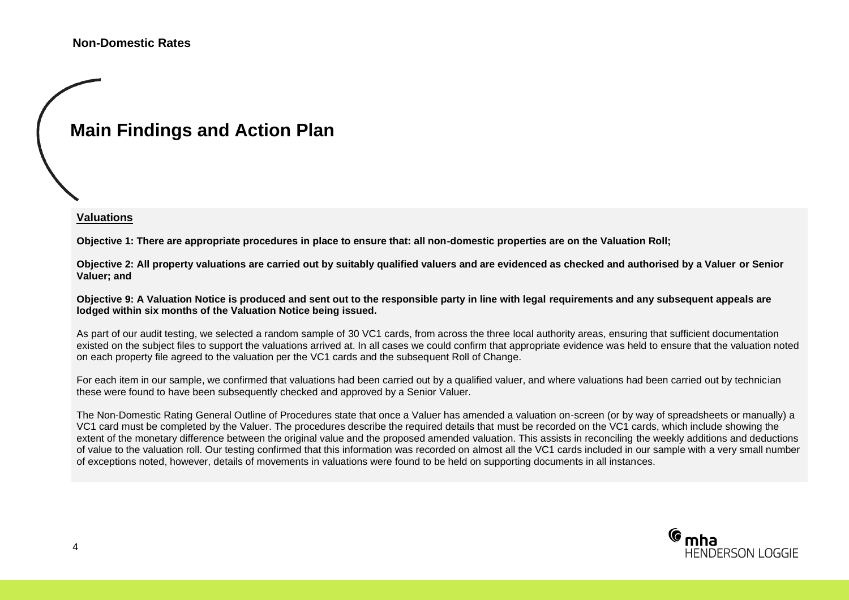## **Main Findings and Action Plan**

#### **Valuations**

**Objective 1: There are appropriate procedures in place to ensure that: all non-domestic properties are on the Valuation Roll;**

**Objective 2: All property valuations are carried out by suitably qualified valuers and are evidenced as checked and authorised by a Valuer or Senior Valuer; and**

**Objective 9: A Valuation Notice is produced and sent out to the responsible party in line with legal requirements and any subsequent appeals are lodged within six months of the Valuation Notice being issued.**

As part of our audit testing, we selected a random sample of 30 VC1 cards, from across the three local authority areas, ensuring that sufficient documentation existed on the subject files to support the valuations arrived at. In all cases we could confirm that appropriate evidence was held to ensure that the valuation noted on each property file agreed to the valuation per the VC1 cards and the subsequent Roll of Change.

For each item in our sample, we confirmed that valuations had been carried out by a qualified valuer, and where valuations had been carried out by technician these were found to have been subsequently checked and approved by a Senior Valuer.

The Non-Domestic Rating General Outline of Procedures state that once a Valuer has amended a valuation on-screen (or by way of spreadsheets or manually) a VC1 card must be completed by the Valuer. The procedures describe the required details that must be recorded on the VC1 cards, which include showing the extent of the monetary difference between the original value and the proposed amended valuation. This assists in reconciling the weekly additions and deductions of value to the valuation roll. Our testing confirmed that this information was recorded on almost all the VC1 cards included in our sample with a very small number of exceptions noted, however, details of movements in valuations were found to be held on supporting documents in all instances.

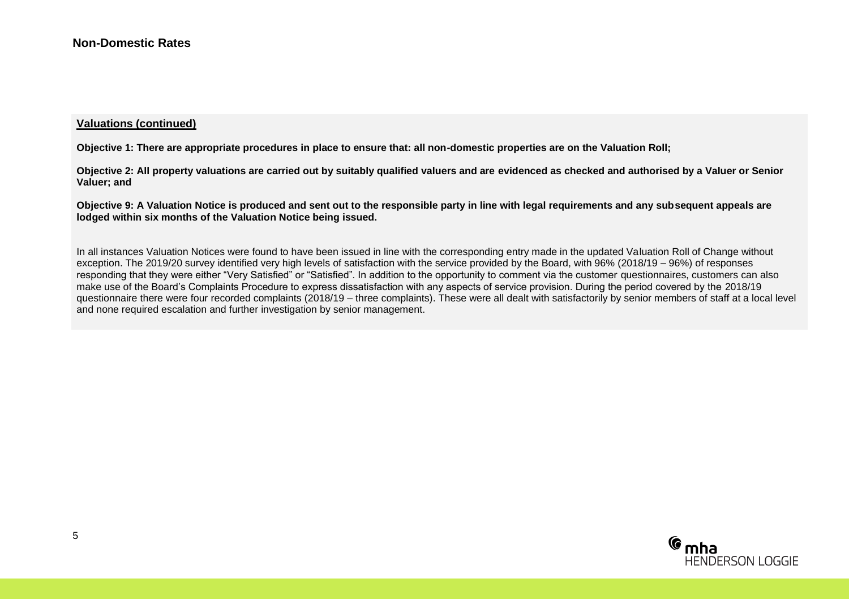#### **Valuations (continued)**

**Objective 1: There are appropriate procedures in place to ensure that: all non-domestic properties are on the Valuation Roll;**

**Objective 2: All property valuations are carried out by suitably qualified valuers and are evidenced as checked and authorised by a Valuer or Senior Valuer; and**

**Objective 9: A Valuation Notice is produced and sent out to the responsible party in line with legal requirements and any subsequent appeals are lodged within six months of the Valuation Notice being issued.**

In all instances Valuation Notices were found to have been issued in line with the corresponding entry made in the updated Valuation Roll of Change without exception. The 2019/20 survey identified very high levels of satisfaction with the service provided by the Board, with 96% (2018/19 – 96%) of responses responding that they were either "Very Satisfied" or "Satisfied". In addition to the opportunity to comment via the customer questionnaires, customers can also make use of the Board's Complaints Procedure to express dissatisfaction with any aspects of service provision. During the period covered by the 2018/19 questionnaire there were four recorded complaints (2018/19 – three complaints). These were all dealt with satisfactorily by senior members of staff at a local level and none required escalation and further investigation by senior management.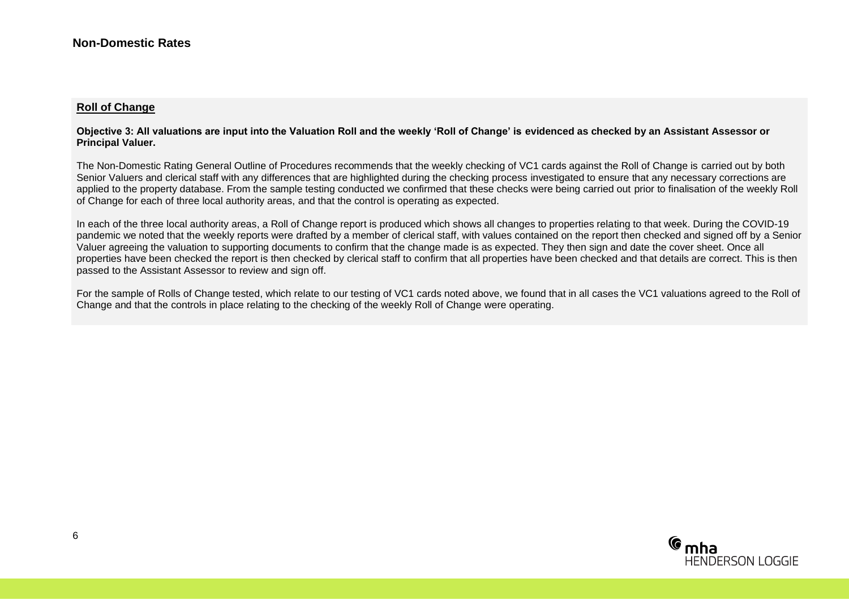#### **Roll of Change**

#### **Objective 3: All valuations are input into the Valuation Roll and the weekly 'Roll of Change' is evidenced as checked by an Assistant Assessor or Principal Valuer.**

The Non-Domestic Rating General Outline of Procedures recommends that the weekly checking of VC1 cards against the Roll of Change is carried out by both Senior Valuers and clerical staff with any differences that are highlighted during the checking process investigated to ensure that any necessary corrections are applied to the property database. From the sample testing conducted we confirmed that these checks were being carried out prior to finalisation of the weekly Roll of Change for each of three local authority areas, and that the control is operating as expected.

In each of the three local authority areas, a Roll of Change report is produced which shows all changes to properties relating to that week. During the COVID-19 pandemic we noted that the weekly reports were drafted by a member of clerical staff, with values contained on the report then checked and signed off by a Senior Valuer agreeing the valuation to supporting documents to confirm that the change made is as expected. They then sign and date the cover sheet. Once all properties have been checked the report is then checked by clerical staff to confirm that all properties have been checked and that details are correct. This is then passed to the Assistant Assessor to review and sign off.

For the sample of Rolls of Change tested, which relate to our testing of VC1 cards noted above, we found that in all cases the VC1 valuations agreed to the Roll of Change and that the controls in place relating to the checking of the weekly Roll of Change were operating.

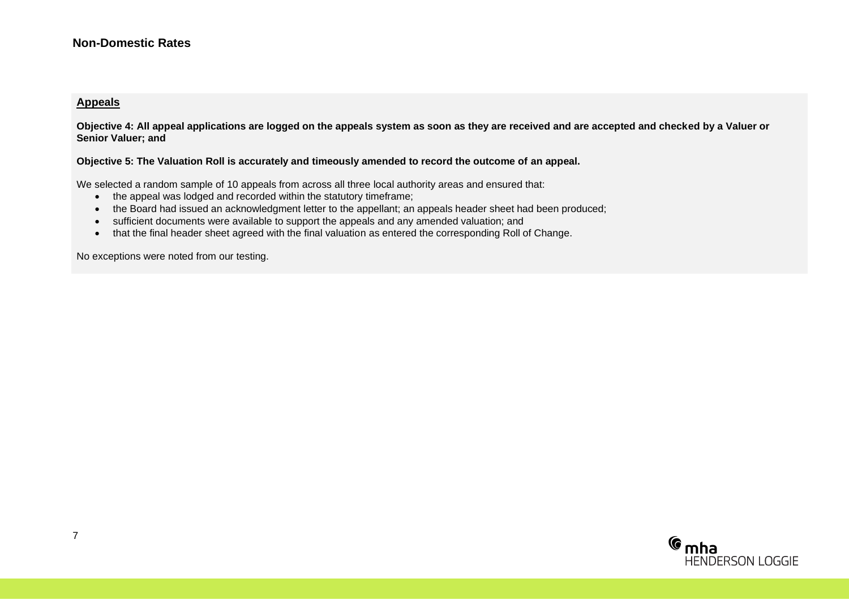#### **Non-Domestic Rates**

#### **Appeals**

**Objective 4: All appeal applications are logged on the appeals system as soon as they are received and are accepted and checked by a Valuer or Senior Valuer; and** 

**Objective 5: The Valuation Roll is accurately and timeously amended to record the outcome of an appeal.**

We selected a random sample of 10 appeals from across all three local authority areas and ensured that:

- the appeal was lodged and recorded within the statutory timeframe;
- the Board had issued an acknowledgment letter to the appellant; an appeals header sheet had been produced;
- sufficient documents were available to support the appeals and any amended valuation; and
- that the final header sheet agreed with the final valuation as entered the corresponding Roll of Change.

No exceptions were noted from our testing.

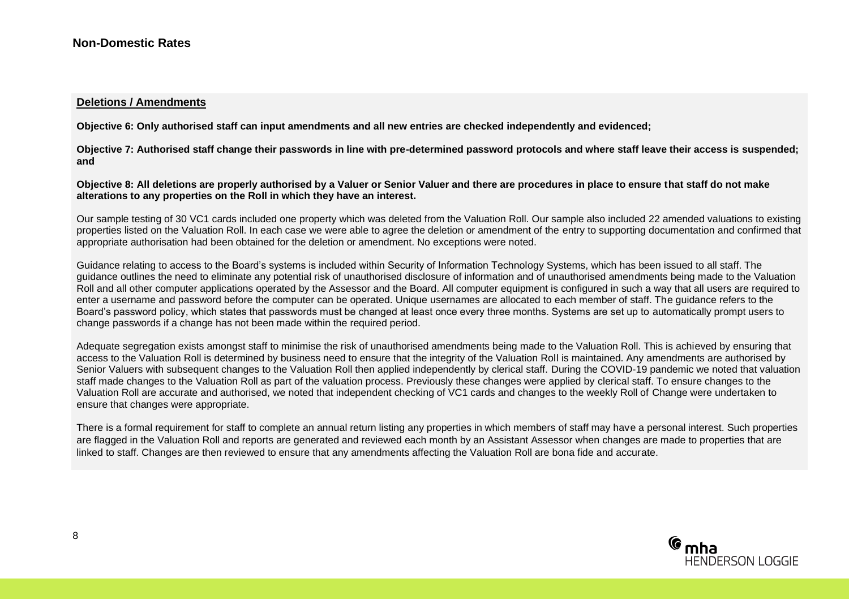#### **Deletions / Amendments**

**Objective 6: Only authorised staff can input amendments and all new entries are checked independently and evidenced;** 

**Objective 7: Authorised staff change their passwords in line with pre-determined password protocols and where staff leave their access is suspended; and**

**Objective 8: All deletions are properly authorised by a Valuer or Senior Valuer and there are procedures in place to ensure that staff do not make alterations to any properties on the Roll in which they have an interest.**

Our sample testing of 30 VC1 cards included one property which was deleted from the Valuation Roll. Our sample also included 22 amended valuations to existing properties listed on the Valuation Roll. In each case we were able to agree the deletion or amendment of the entry to supporting documentation and confirmed that appropriate authorisation had been obtained for the deletion or amendment. No exceptions were noted.

Guidance relating to access to the Board's systems is included within Security of Information Technology Systems, which has been issued to all staff. The guidance outlines the need to eliminate any potential risk of unauthorised disclosure of information and of unauthorised amendments being made to the Valuation Roll and all other computer applications operated by the Assessor and the Board. All computer equipment is configured in such a way that all users are required to enter a username and password before the computer can be operated. Unique usernames are allocated to each member of staff. The guidance refers to the Board's password policy, which states that passwords must be changed at least once every three months. Systems are set up to automatically prompt users to change passwords if a change has not been made within the required period.

Adequate segregation exists amongst staff to minimise the risk of unauthorised amendments being made to the Valuation Roll. This is achieved by ensuring that access to the Valuation Roll is determined by business need to ensure that the integrity of the Valuation Roll is maintained. Any amendments are authorised by Senior Valuers with subsequent changes to the Valuation Roll then applied independently by clerical staff. During the COVID-19 pandemic we noted that valuation staff made changes to the Valuation Roll as part of the valuation process. Previously these changes were applied by clerical staff. To ensure changes to the Valuation Roll are accurate and authorised, we noted that independent checking of VC1 cards and changes to the weekly Roll of Change were undertaken to ensure that changes were appropriate.

There is a formal requirement for staff to complete an annual return listing any properties in which members of staff may have a personal interest. Such properties are flagged in the Valuation Roll and reports are generated and reviewed each month by an Assistant Assessor when changes are made to properties that are linked to staff. Changes are then reviewed to ensure that any amendments affecting the Valuation Roll are bona fide and accurate.

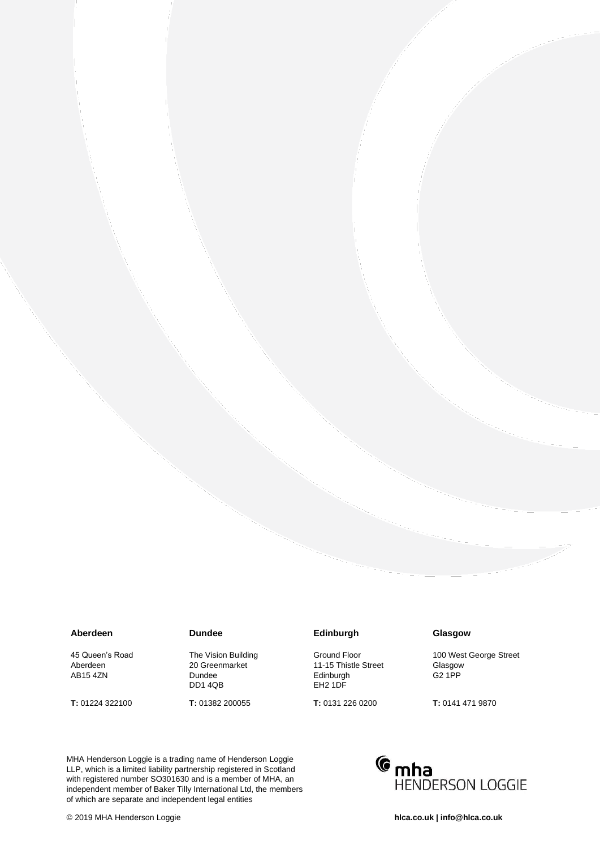#### **Aberdeen**

45 Queen's Road Aberdeen AB15 4ZN

**T:** 01224 322100

#### **Dundee**

The Vision Building 20 Greenmarket Dundee DD1 4QB

**T:** 01382 200055

#### **Edinburgh**

Ground Floor 11-15 Thistle Street Edinburgh EH2 1DF

**T:** 0131 226 0200

#### **Glasgow**

100 West George Street Glasgow G2 1PP

**T:** 0141 471 9870

of which are separate and independent legal entities MHA Henderson Loggie is a trading name of Henderson Loggie LLP, which is a limited liability partnership registered in Scotland with registered number SO301630 and is a member of MHA, an independent member of Baker Tilly International Ltd, the members

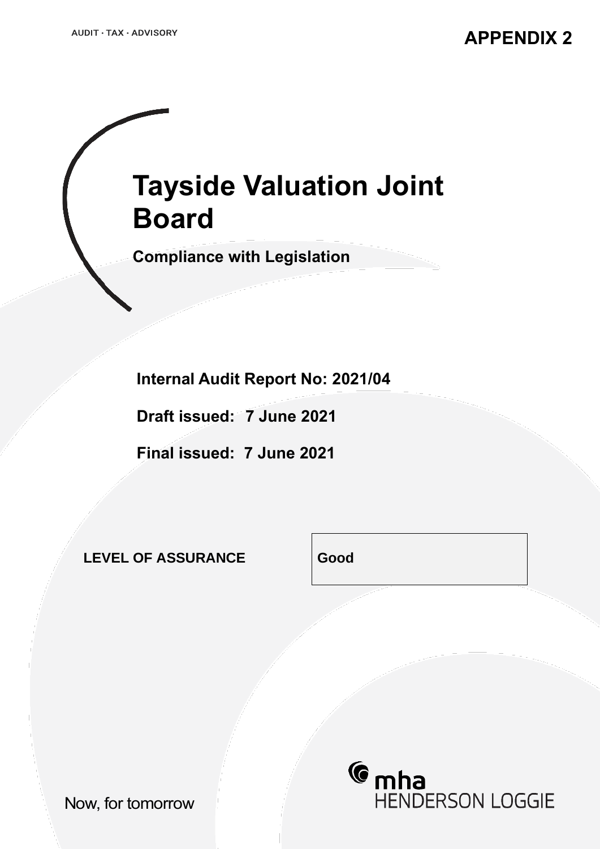# **Tayside Valuation Joint Board**

**Compliance with Legislation**

**Internal Audit Report No: 2021/04**

**Draft issued: 7 June 2021**

**Final issued: 7 June 2021**

**LEVEL OF ASSURANCE Good**

*C* mha **HENDERSON LOGGIE** 

Now, for tomorrow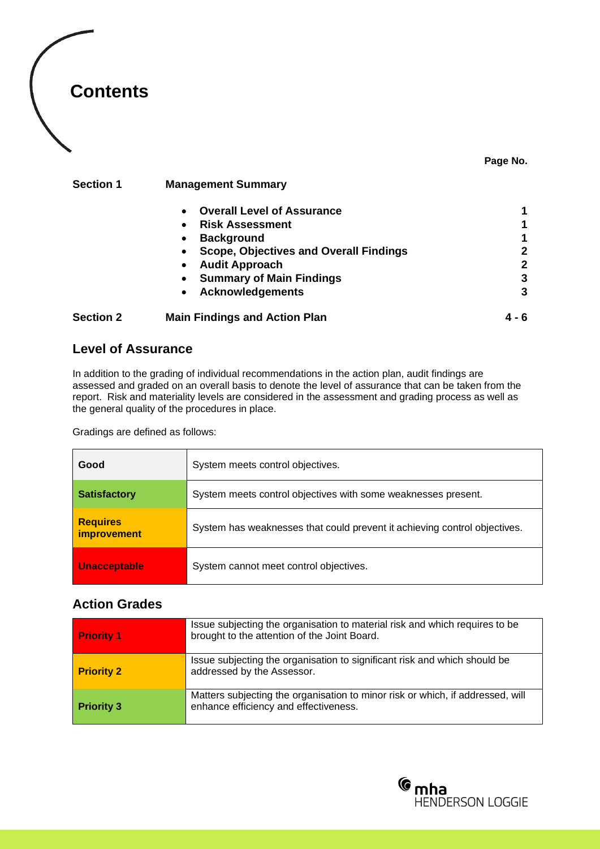

#### **Page No.**

#### **Section 1 Management Summary**

|                  | <b>Overall Level of Assurance</b><br>$\bullet$             |       |
|------------------|------------------------------------------------------------|-------|
|                  | <b>Risk Assessment</b><br>$\bullet$                        |       |
|                  | <b>Background</b><br>$\bullet$                             |       |
|                  | <b>Scope, Objectives and Overall Findings</b><br>$\bullet$ | 2     |
|                  | <b>Audit Approach</b><br>$\bullet$                         | 2     |
|                  | <b>Summary of Main Findings</b><br>$\bullet$               | 3     |
|                  | <b>Acknowledgements</b><br>$\bullet$                       | 3     |
| <b>Section 2</b> | <b>Main Findings and Action Plan</b>                       | 4 - 6 |

#### **Level of Assurance**

In addition to the grading of individual recommendations in the action plan, audit findings are assessed and graded on an overall basis to denote the level of assurance that can be taken from the report. Risk and materiality levels are considered in the assessment and grading process as well as the general quality of the procedures in place.

Gradings are defined as follows:

| Good                                  | System meets control objectives.                                          |  |  |
|---------------------------------------|---------------------------------------------------------------------------|--|--|
| <b>Satisfactory</b>                   | System meets control objectives with some weaknesses present.             |  |  |
| <b>Requires</b><br><i>improvement</i> | System has weaknesses that could prevent it achieving control objectives. |  |  |
| <b>Unacceptable</b>                   | System cannot meet control objectives.                                    |  |  |

#### **Action Grades**

| <b>Priority 1</b> | Issue subjecting the organisation to material risk and which requires to be<br>brought to the attention of the Joint Board. |
|-------------------|-----------------------------------------------------------------------------------------------------------------------------|
| <b>Priority 2</b> | Issue subjecting the organisation to significant risk and which should be<br>addressed by the Assessor.                     |
| <b>Priority 3</b> | Matters subjecting the organisation to minor risk or which, if addressed, will<br>enhance efficiency and effectiveness.     |

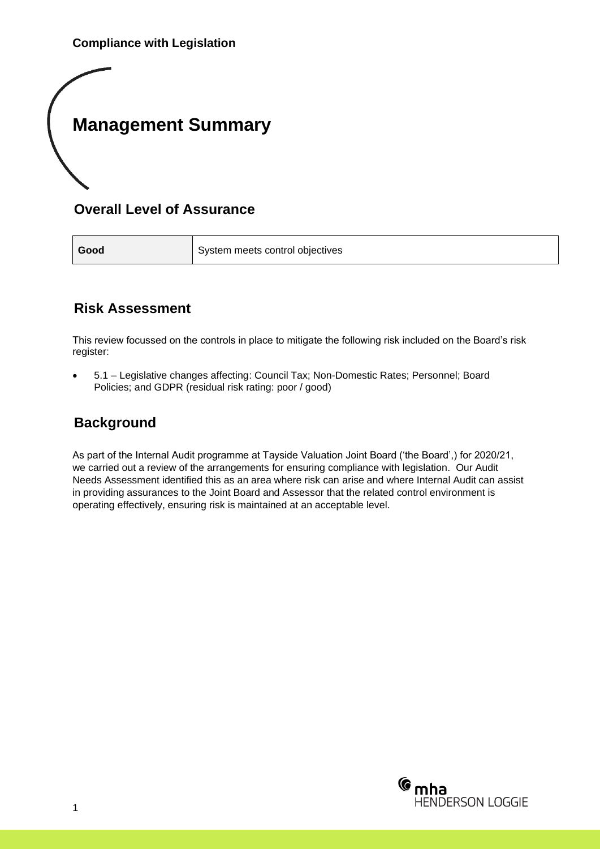## **Management Summary**

### **Overall Level of Assurance**

**Good** System meets control objectives

### **Risk Assessment**

This review focussed on the controls in place to mitigate the following risk included on the Board's risk register:

• 5.1 – Legislative changes affecting: Council Tax; Non-Domestic Rates; Personnel; Board Policies; and GDPR (residual risk rating: poor / good)

### **Background**

As part of the Internal Audit programme at Tayside Valuation Joint Board ('the Board',) for 2020/21, we carried out a review of the arrangements for ensuring compliance with legislation. Our Audit Needs Assessment identified this as an area where risk can arise and where Internal Audit can assist in providing assurances to the Joint Board and Assessor that the related control environment is operating effectively, ensuring risk is maintained at an acceptable level.

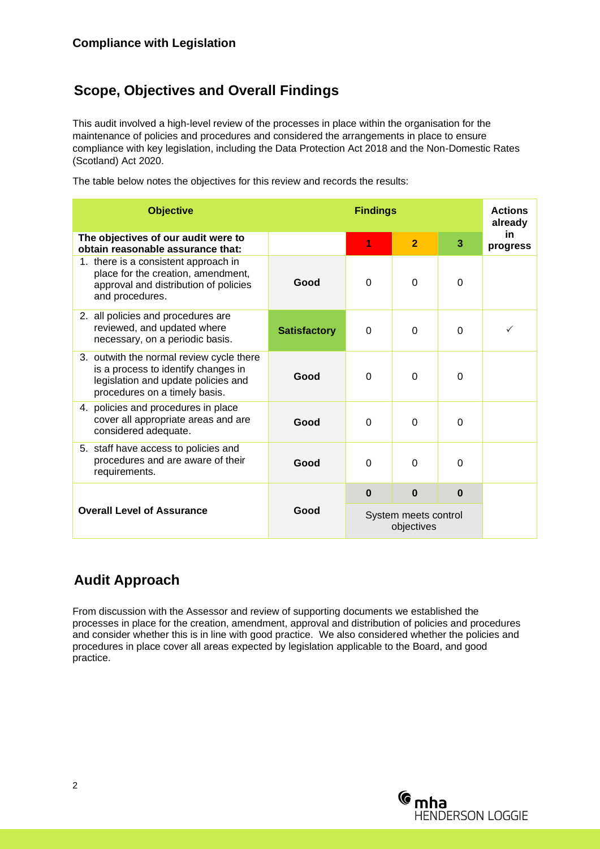### **Scope, Objectives and Overall Findings**

This audit involved a high-level review of the processes in place within the organisation for the maintenance of policies and procedures and considered the arrangements in place to ensure compliance with key legislation, including the Data Protection Act 2018 and the Non-Domestic Rates (Scotland) Act 2020.

The table below notes the objectives for this review and records the results:

| <b>Objective</b>                                                                                                                                        |                     | <b>Findings</b> |                                    |          | <b>Actions</b><br>already |
|---------------------------------------------------------------------------------------------------------------------------------------------------------|---------------------|-----------------|------------------------------------|----------|---------------------------|
| The objectives of our audit were to<br>obtain reasonable assurance that:                                                                                |                     | 1               | $\overline{2}$                     | 3        | in.<br>progress           |
| 1. there is a consistent approach in<br>place for the creation, amendment,<br>approval and distribution of policies<br>and procedures.                  | Good                | $\Omega$        | $\Omega$                           | $\Omega$ |                           |
| 2. all policies and procedures are<br>reviewed, and updated where<br>necessary, on a periodic basis.                                                    | <b>Satisfactory</b> | $\Omega$        | $\Omega$                           | $\Omega$ |                           |
| 3. outwith the normal review cycle there<br>is a process to identify changes in<br>legislation and update policies and<br>procedures on a timely basis. | Good                | $\Omega$        | $\Omega$                           | $\Omega$ |                           |
| 4. policies and procedures in place<br>cover all appropriate areas and are<br>considered adequate.                                                      | Good                | $\Omega$        | $\Omega$                           | $\Omega$ |                           |
| 5. staff have access to policies and<br>procedures and are aware of their<br>requirements.                                                              | Good                | $\Omega$        | $\Omega$                           | $\Omega$ |                           |
|                                                                                                                                                         |                     | $\Omega$        | $\bf{0}$                           | $\bf{0}$ |                           |
| <b>Overall Level of Assurance</b>                                                                                                                       | Good                |                 | System meets control<br>objectives |          |                           |

### **Audit Approach**

From discussion with the Assessor and review of supporting documents we established the processes in place for the creation, amendment, approval and distribution of policies and procedures and consider whether this is in line with good practice. We also considered whether the policies and procedures in place cover all areas expected by legislation applicable to the Board, and good practice.

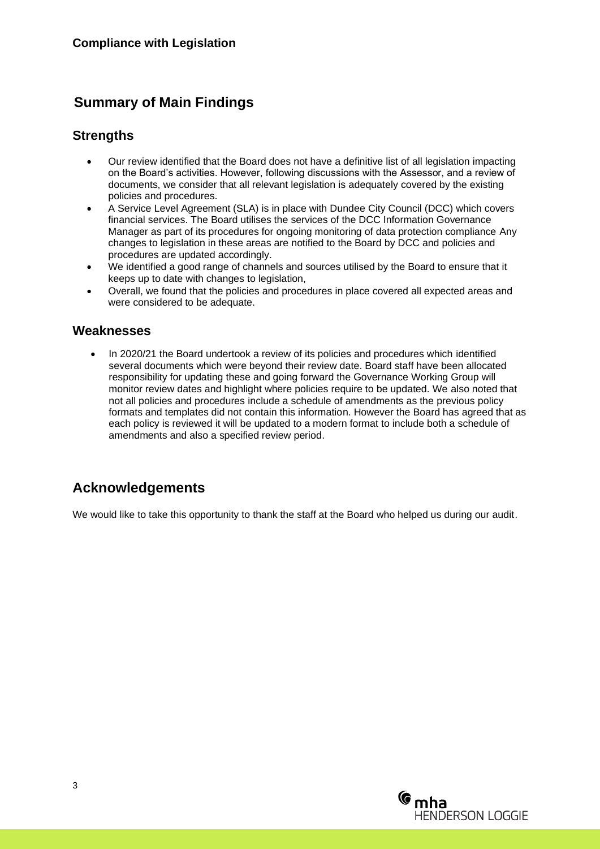### **Summary of Main Findings**

### **Strengths**

- Our review identified that the Board does not have a definitive list of all legislation impacting on the Board's activities. However, following discussions with the Assessor, and a review of documents, we consider that all relevant legislation is adequately covered by the existing policies and procedures.
- A Service Level Agreement (SLA) is in place with Dundee City Council (DCC) which covers financial services. The Board utilises the services of the DCC Information Governance Manager as part of its procedures for ongoing monitoring of data protection compliance Any changes to legislation in these areas are notified to the Board by DCC and policies and procedures are updated accordingly.
- We identified a good range of channels and sources utilised by the Board to ensure that it keeps up to date with changes to legislation,
- Overall, we found that the policies and procedures in place covered all expected areas and were considered to be adequate.

#### **Weaknesses**

• In 2020/21 the Board undertook a review of its policies and procedures which identified several documents which were beyond their review date. Board staff have been allocated responsibility for updating these and going forward the Governance Working Group will monitor review dates and highlight where policies require to be updated. We also noted that not all policies and procedures include a schedule of amendments as the previous policy formats and templates did not contain this information. However the Board has agreed that as each policy is reviewed it will be updated to a modern format to include both a schedule of amendments and also a specified review period.

### **Acknowledgements**

We would like to take this opportunity to thank the staff at the Board who helped us during our audit.

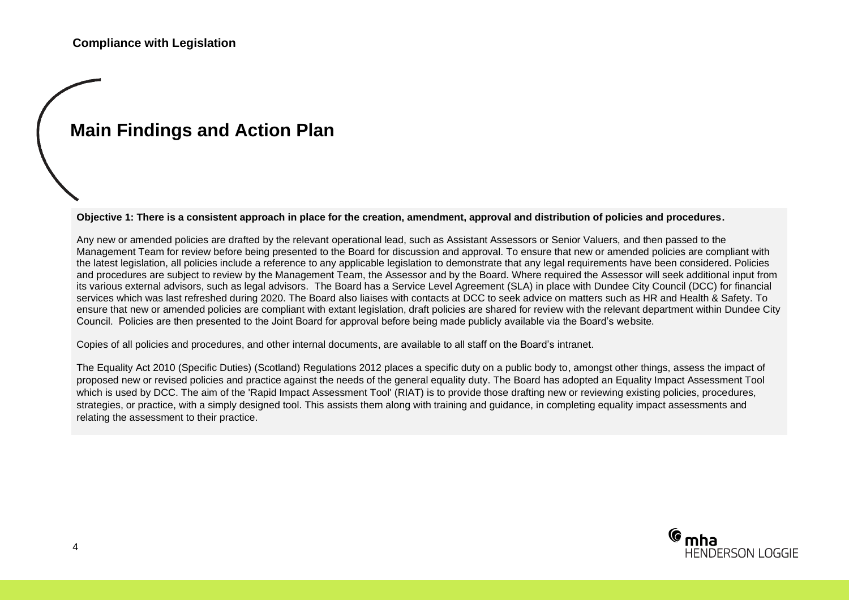## **Main Findings and Action Plan**

**Objective 1: There is a consistent approach in place for the creation, amendment, approval and distribution of policies and procedures.**

Any new or amended policies are drafted by the relevant operational lead, such as Assistant Assessors or Senior Valuers, and then passed to the Management Team for review before being presented to the Board for discussion and approval. To ensure that new or amended policies are compliant with the latest legislation, all policies include a reference to any applicable legislation to demonstrate that any legal requirements have been considered. Policies and procedures are subject to review by the Management Team, the Assessor and by the Board. Where required the Assessor will seek additional input from its various external advisors, such as legal advisors. The Board has a Service Level Agreement (SLA) in place with Dundee City Council (DCC) for financial services which was last refreshed during 2020. The Board also liaises with contacts at DCC to seek advice on matters such as HR and Health & Safety. To ensure that new or amended policies are compliant with extant legislation, draft policies are shared for review with the relevant department within Dundee City Council. Policies are then presented to the Joint Board for approval before being made publicly available via the Board's website.

Copies of all policies and procedures, and other internal documents, are available to all staff on the Board's intranet.

The Equality Act 2010 (Specific Duties) (Scotland) Regulations 2012 places a specific duty on a public body to, amongst other things, assess the impact of proposed new or revised policies and practice against the needs of the general equality duty. The Board has adopted an Equality Impact Assessment Tool which is used by DCC. The aim of the 'Rapid Impact Assessment Tool' (RIAT) is to provide those drafting new or reviewing existing policies, procedures, strategies, or practice, with a simply designed tool. This assists them along with training and guidance, in completing equality impact assessments and relating the assessment to their practice.

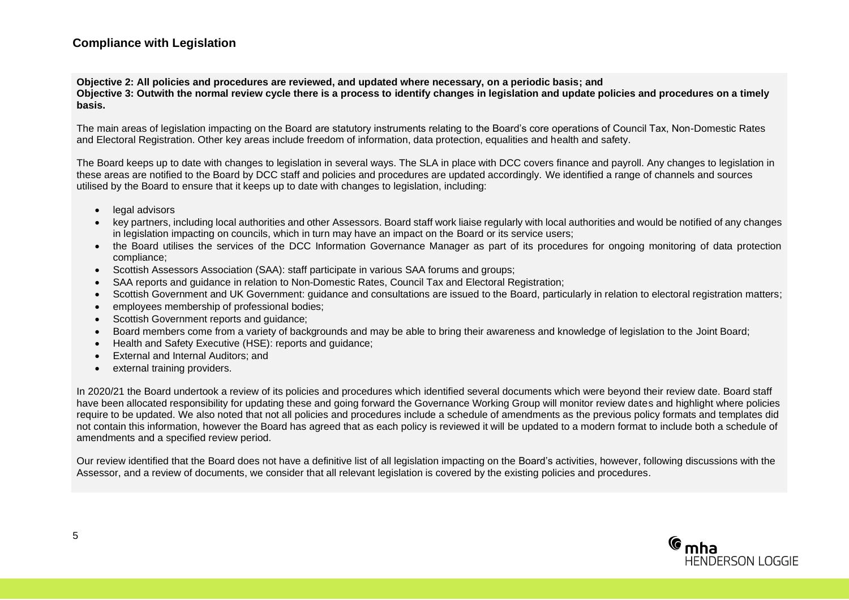#### **Compliance with Legislation**

**Objective 2: All policies and procedures are reviewed, and updated where necessary, on a periodic basis; and**

**Objective 3: Outwith the normal review cycle there is a process to identify changes in legislation and update policies and procedures on a timely basis.**

The main areas of legislation impacting on the Board are statutory instruments relating to the Board's core operations of Council Tax. Non-Domestic Rates and Electoral Registration. Other key areas include freedom of information, data protection, equalities and health and safety.

The Board keeps up to date with changes to legislation in several ways. The SLA in place with DCC covers finance and payroll. Any changes to legislation in these areas are notified to the Board by DCC staff and policies and procedures are updated accordingly. We identified a range of channels and sources utilised by the Board to ensure that it keeps up to date with changes to legislation, including:

- legal advisors
- key partners, including local authorities and other Assessors. Board staff work liaise regularly with local authorities and would be notified of any changes in legislation impacting on councils, which in turn may have an impact on the Board or its service users;
- the Board utilises the services of the DCC Information Governance Manager as part of its procedures for ongoing monitoring of data protection compliance;
- Scottish Assessors Association (SAA): staff participate in various SAA forums and groups;
- SAA reports and quidance in relation to Non-Domestic Rates, Council Tax and Electoral Registration;
- Scottish Government and UK Government: guidance and consultations are issued to the Board, particularly in relation to electoral registration matters;
- employees membership of professional bodies;
- Scottish Government reports and quidance;
- Board members come from a variety of backgrounds and may be able to bring their awareness and knowledge of legislation to the Joint Board;
- Health and Safety Executive (HSE): reports and guidance;
- External and Internal Auditors; and
- external training providers.

In 2020/21 the Board undertook a review of its policies and procedures which identified several documents which were beyond their review date. Board staff have been allocated responsibility for updating these and going forward the Governance Working Group will monitor review dates and highlight where policies require to be updated. We also noted that not all policies and procedures include a schedule of amendments as the previous policy formats and templates did not contain this information, however the Board has agreed that as each policy is reviewed it will be updated to a modern format to include both a schedule of amendments and a specified review period.

Our review identified that the Board does not have a definitive list of all legislation impacting on the Board's activities, however, following discussions with the Assessor, and a review of documents, we consider that all relevant legislation is covered by the existing policies and procedures.

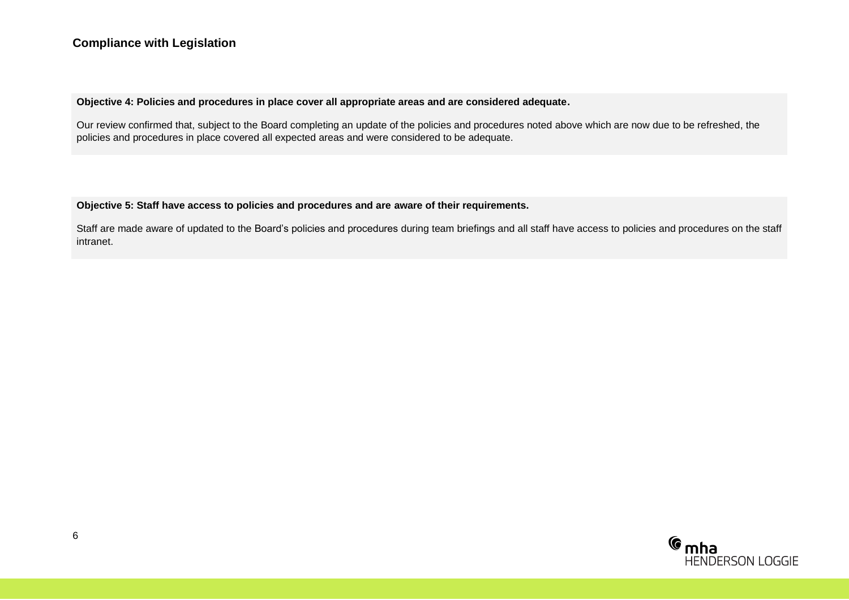#### **Objective 4: Policies and procedures in place cover all appropriate areas and are considered adequate.**

Our review confirmed that, subject to the Board completing an update of the policies and procedures noted above which are now due to be refreshed, the policies and procedures in place covered all expected areas and were considered to be adequate.

#### **Objective 5: Staff have access to policies and procedures and are aware of their requirements.**

Staff are made aware of updated to the Board's policies and procedures during team briefings and all staff have access to policies and procedures on the staff intranet.

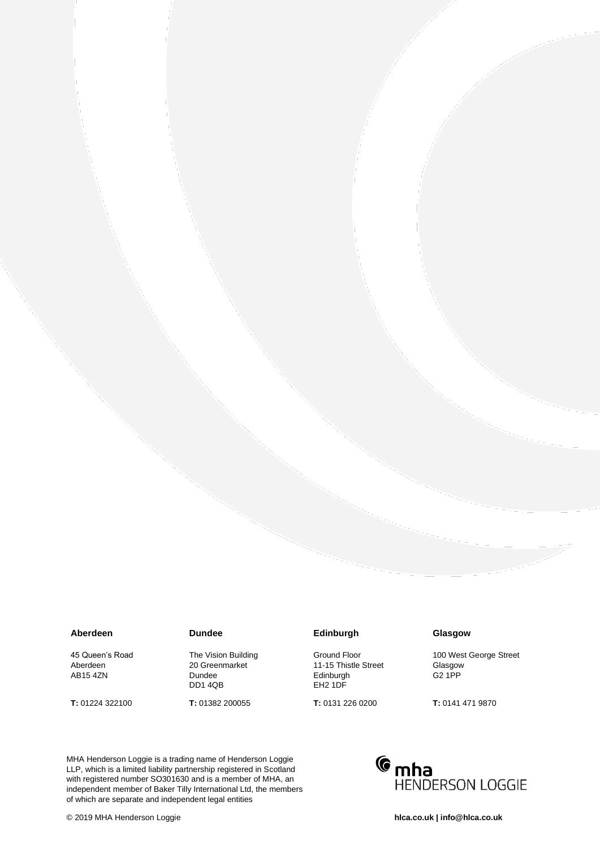#### **Aberdeen**

45 Queen's Road Aberdeen AB15 4ZN

**T:** 01224 322100

#### **Dundee**

The Vision Building 20 Greenmarket Dundee DD1 4QB

**T:** 01382 200055

#### **Edinburgh**

Ground Floor 11-15 Thistle Street Edinburgh EH2 1DF

**T:** 0131 226 0200

#### **Glasgow**

100 West George Street Glasgow G2 1PP

**T:** 0141 471 9870

of which are separate and independent legal entities MHA Henderson Loggie is a trading name of Henderson Loggie LLP, which is a limited liability partnership registered in Scotland with registered number SO301630 and is a member of MHA, an independent member of Baker Tilly International Ltd, the members

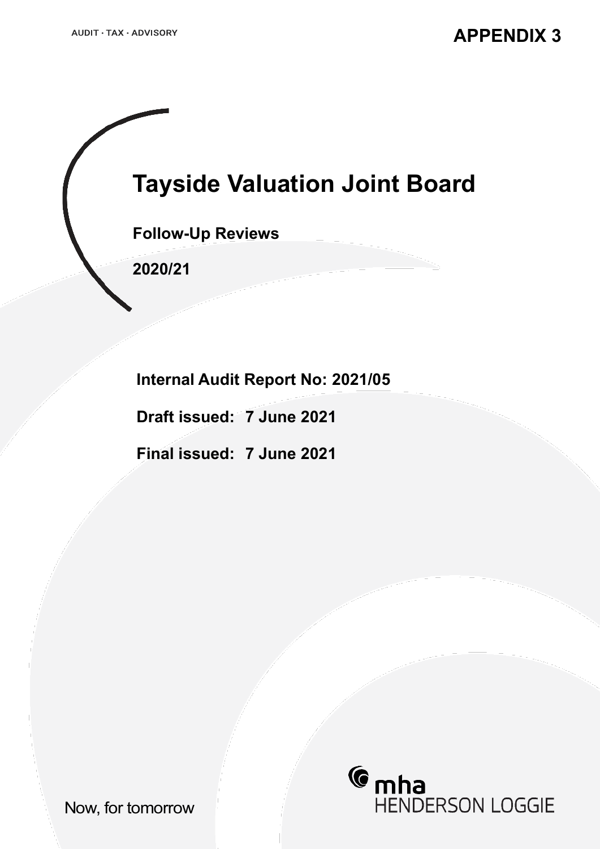**Tayside Valuation Joint Board**

**Follow-Up Reviews**

**2020/21**

**Internal Audit Report No: 2021/05**

**Draft issued: 7 June 2021**

**Final issued: 7 June 2021**



Now, for tomorrow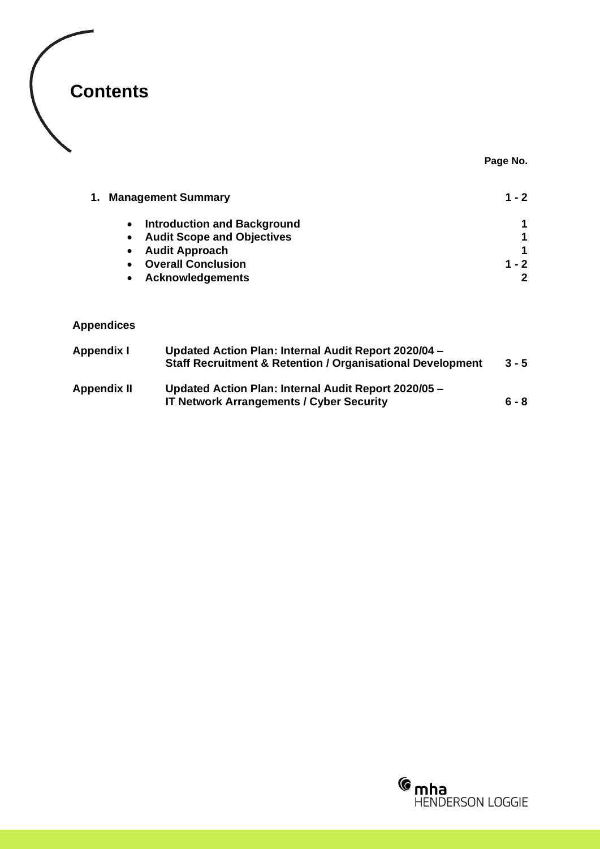

**Page No.**

| 1. Management Summary |                                                 | 1 - 2 |
|-----------------------|-------------------------------------------------|-------|
|                       | <b>Introduction and Background</b><br>$\bullet$ |       |
|                       | <b>Audit Scope and Objectives</b><br>$\bullet$  |       |
|                       | <b>Audit Approach</b><br>$\bullet$              |       |
|                       | <b>Overall Conclusion</b><br>$\bullet$          | 1 - 2 |
|                       | <b>Acknowledgements</b>                         |       |

### **Appendices**

| Appendix I         | Updated Action Plan: Internal Audit Report 2020/04 -<br><b>Staff Recruitment &amp; Retention / Organisational Development</b> | $3 - 5$ |
|--------------------|-------------------------------------------------------------------------------------------------------------------------------|---------|
| <b>Appendix II</b> | Updated Action Plan: Internal Audit Report 2020/05 -<br><b>IT Network Arrangements / Cyber Security</b>                       | $6 - 8$ |

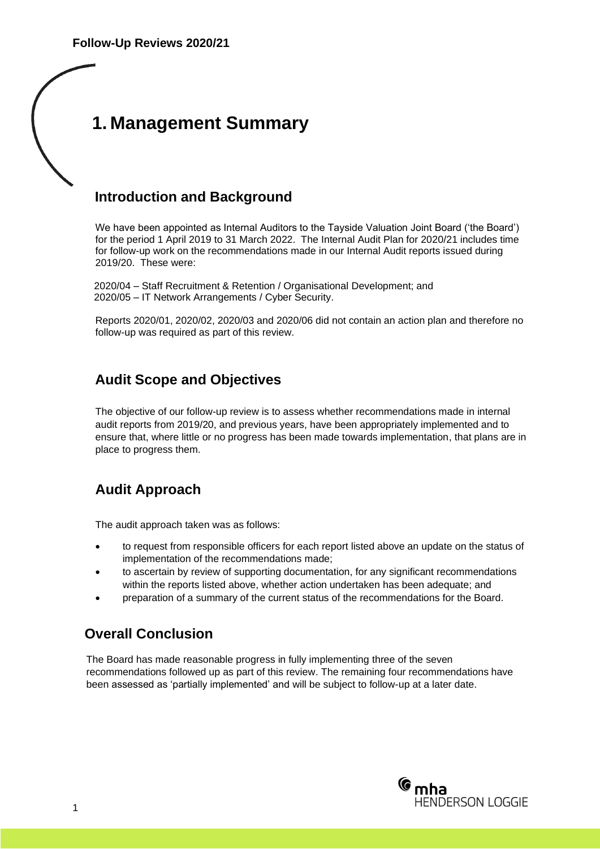## **1. Management Summary**

### **Introduction and Background**

We have been appointed as Internal Auditors to the Tayside Valuation Joint Board ('the Board') for the period 1 April 2019 to 31 March 2022. The Internal Audit Plan for 2020/21 includes time for follow-up work on the recommendations made in our Internal Audit reports issued during 2019/20. These were:

2020/04 – Staff Recruitment & Retention / Organisational Development; and 2020/05 – IT Network Arrangements / Cyber Security.

Reports 2020/01, 2020/02, 2020/03 and 2020/06 did not contain an action plan and therefore no follow-up was required as part of this review.

### **Audit Scope and Objectives**

The objective of our follow-up review is to assess whether recommendations made in internal audit reports from 2019/20, and previous years, have been appropriately implemented and to ensure that, where little or no progress has been made towards implementation, that plans are in place to progress them.

### **Audit Approach**

The audit approach taken was as follows:

- to request from responsible officers for each report listed above an update on the status of implementation of the recommendations made;
- to ascertain by review of supporting documentation, for any significant recommendations within the reports listed above, whether action undertaken has been adequate; and
- preparation of a summary of the current status of the recommendations for the Board.

### **Overall Conclusion**

The Board has made reasonable progress in fully implementing three of the seven recommendations followed up as part of this review. The remaining four recommendations have been assessed as 'partially implemented' and will be subject to follow-up at a later date.

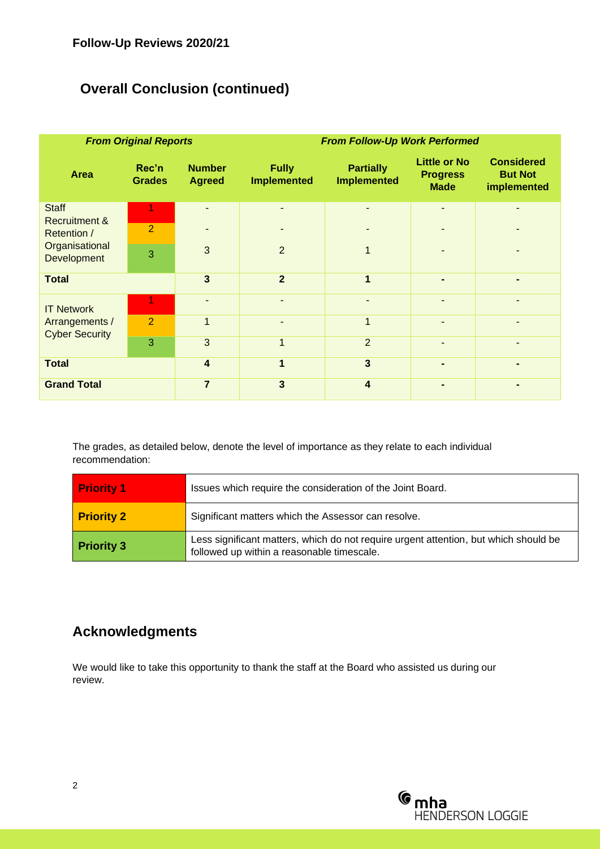### **Overall Conclusion (continued)**

| <b>From Original Reports</b>            |                        |                                | <b>From Follow-Up Work Performed</b> |                                        |                                                       |                                                    |
|-----------------------------------------|------------------------|--------------------------------|--------------------------------------|----------------------------------------|-------------------------------------------------------|----------------------------------------------------|
| <b>Area</b>                             | Rec'n<br><b>Grades</b> | <b>Number</b><br><b>Agreed</b> | <b>Fully</b><br><b>Implemented</b>   | <b>Partially</b><br><b>Implemented</b> | <b>Little or No</b><br><b>Progress</b><br><b>Made</b> | <b>Considered</b><br><b>But Not</b><br>implemented |
| <b>Staff</b>                            |                        |                                |                                      |                                        |                                                       |                                                    |
| <b>Recruitment &amp;</b><br>Retention / | $\overline{2}$         |                                |                                      | ۰                                      |                                                       |                                                    |
| Organisational<br>Development           | 3                      | 3                              | 2                                    | 1                                      |                                                       |                                                    |
| <b>Total</b>                            |                        | $\overline{\mathbf{3}}$        | $\overline{2}$                       | $\overline{1}$                         |                                                       |                                                    |
| <b>IT Network</b>                       |                        |                                |                                      | ۰                                      |                                                       |                                                    |
| Arrangements /<br><b>Cyber Security</b> | $\overline{2}$         |                                |                                      | 1                                      |                                                       |                                                    |
|                                         | 3                      | 3                              | $\overline{1}$                       | $\overline{2}$                         |                                                       |                                                    |
| <b>Total</b>                            |                        | $\overline{4}$                 | 1                                    | $\overline{3}$                         |                                                       |                                                    |
| <b>Grand Total</b>                      |                        | $\overline{7}$                 | $\mathbf{3}$                         | $\overline{\mathbf{4}}$                |                                                       |                                                    |

The grades, as detailed below, denote the level of importance as they relate to each individual recommendation:

| <b>Priority 1</b> | Issues which require the consideration of the Joint Board.                                                                         |  |  |
|-------------------|------------------------------------------------------------------------------------------------------------------------------------|--|--|
| <b>Priority 2</b> | Significant matters which the Assessor can resolve.                                                                                |  |  |
| <b>Priority 3</b> | Less significant matters, which do not require urgent attention, but which should be<br>followed up within a reasonable timescale. |  |  |

### **Acknowledgments**

We would like to take this opportunity to thank the staff at the Board who assisted us during our review.

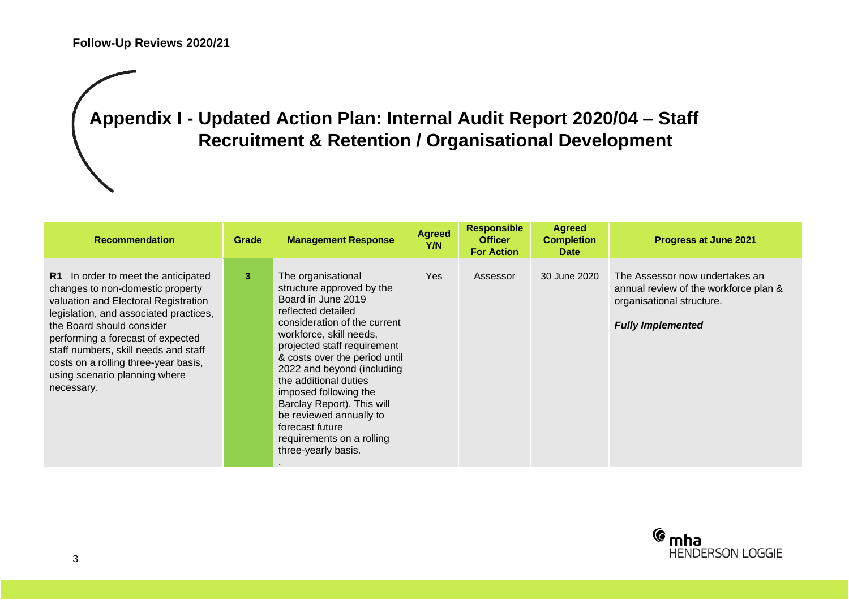## **Appendix I - Updated Action Plan: Internal Audit Report 2020/04 – Staff Recruitment & Retention / Organisational Development**

| <b>Recommendation</b>                                                                                                                                                                                                                                                                                                                                      | Grade | <b>Management Response</b>                                                                                                                                                                                                                                                                                                                                                                                                             | <b>Agreed</b><br>Y/N | <b>Responsible</b><br><b>Officer</b><br><b>For Action</b> | <b>Agreed</b><br><b>Completion</b><br><b>Date</b> | Progress at June 2021                                                                                                            |
|------------------------------------------------------------------------------------------------------------------------------------------------------------------------------------------------------------------------------------------------------------------------------------------------------------------------------------------------------------|-------|----------------------------------------------------------------------------------------------------------------------------------------------------------------------------------------------------------------------------------------------------------------------------------------------------------------------------------------------------------------------------------------------------------------------------------------|----------------------|-----------------------------------------------------------|---------------------------------------------------|----------------------------------------------------------------------------------------------------------------------------------|
| R1 In order to meet the anticipated<br>changes to non-domestic property<br>valuation and Electoral Registration<br>legislation, and associated practices,<br>the Board should consider<br>performing a forecast of expected<br>staff numbers, skill needs and staff<br>costs on a rolling three-year basis,<br>using scenario planning where<br>necessary. | 3     | The organisational<br>structure approved by the<br>Board in June 2019<br>reflected detailed<br>consideration of the current<br>workforce, skill needs,<br>projected staff requirement<br>& costs over the period until<br>2022 and beyond (including<br>the additional duties<br>imposed following the<br>Barclay Report). This will<br>be reviewed annually to<br>forecast future<br>requirements on a rolling<br>three-yearly basis. | Yes                  | Assessor                                                  | 30 June 2020                                      | The Assessor now undertakes an<br>annual review of the workforce plan &<br>organisational structure.<br><b>Fully Implemented</b> |

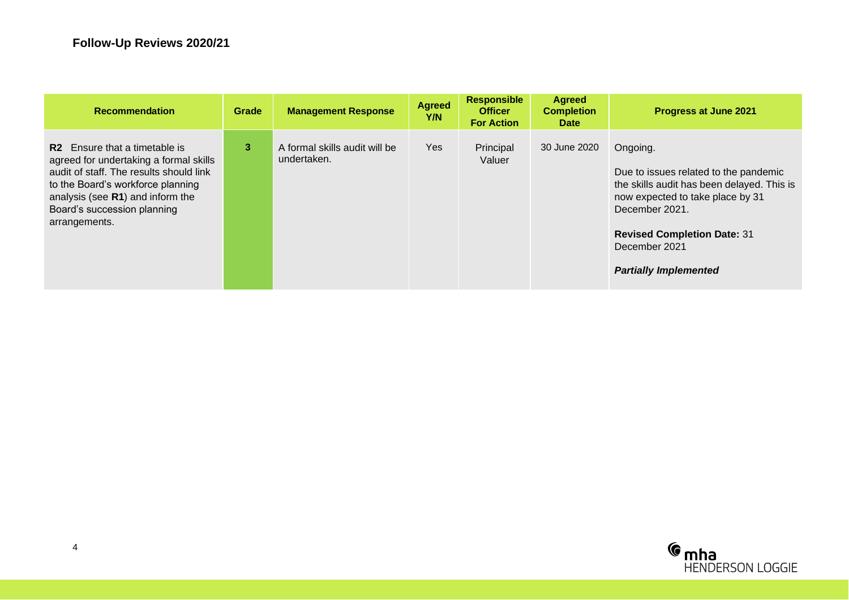| <b>Recommendation</b>                                                                                                                                                                                                                                      | Grade | <b>Management Response</b>                   | <b>Agreed</b><br>Y/N | <b>Responsible</b><br><b>Officer</b><br><b>For Action</b> | <b>Agreed</b><br><b>Completion</b><br><b>Date</b> | Progress at June 2021                                                                                                                                                                                                                        |
|------------------------------------------------------------------------------------------------------------------------------------------------------------------------------------------------------------------------------------------------------------|-------|----------------------------------------------|----------------------|-----------------------------------------------------------|---------------------------------------------------|----------------------------------------------------------------------------------------------------------------------------------------------------------------------------------------------------------------------------------------------|
| Ensure that a timetable is<br>R <sub>2</sub><br>agreed for undertaking a formal skills<br>audit of staff. The results should link<br>to the Board's workforce planning<br>analysis (see R1) and inform the<br>Board's succession planning<br>arrangements. | 3     | A formal skills audit will be<br>undertaken. | <b>Yes</b>           | Principal<br>Valuer                                       | 30 June 2020                                      | Ongoing.<br>Due to issues related to the pandemic<br>the skills audit has been delayed. This is<br>now expected to take place by 31<br>December 2021.<br><b>Revised Completion Date: 31</b><br>December 2021<br><b>Partially Implemented</b> |

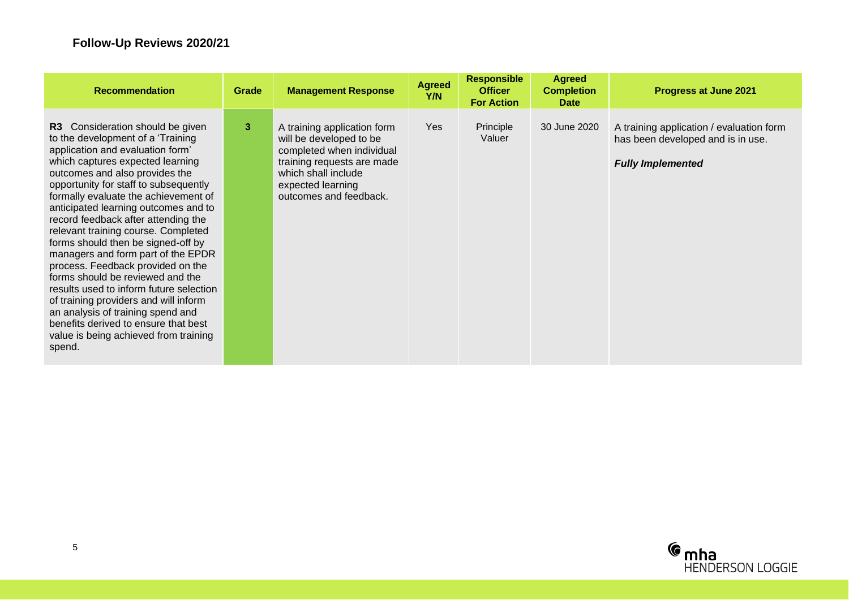| <b>Recommendation</b>                                                                                                                                                                                                                                                                                                                                                                                                                                                                                                                                                                                                                                                                                                                                           | Grade | <b>Management Response</b>                                                                                                                                                              | <b>Agreed</b><br>Y/N | <b>Responsible</b><br><b>Officer</b><br><b>For Action</b> | <b>Agreed</b><br><b>Completion</b><br><b>Date</b> | <b>Progress at June 2021</b>                                                                              |
|-----------------------------------------------------------------------------------------------------------------------------------------------------------------------------------------------------------------------------------------------------------------------------------------------------------------------------------------------------------------------------------------------------------------------------------------------------------------------------------------------------------------------------------------------------------------------------------------------------------------------------------------------------------------------------------------------------------------------------------------------------------------|-------|-----------------------------------------------------------------------------------------------------------------------------------------------------------------------------------------|----------------------|-----------------------------------------------------------|---------------------------------------------------|-----------------------------------------------------------------------------------------------------------|
| R3 Consideration should be given<br>to the development of a 'Training<br>application and evaluation form'<br>which captures expected learning<br>outcomes and also provides the<br>opportunity for staff to subsequently<br>formally evaluate the achievement of<br>anticipated learning outcomes and to<br>record feedback after attending the<br>relevant training course. Completed<br>forms should then be signed-off by<br>managers and form part of the EPDR<br>process. Feedback provided on the<br>forms should be reviewed and the<br>results used to inform future selection<br>of training providers and will inform<br>an analysis of training spend and<br>benefits derived to ensure that best<br>value is being achieved from training<br>spend. | 3     | A training application form<br>will be developed to be<br>completed when individual<br>training requests are made<br>which shall include<br>expected learning<br>outcomes and feedback. | Yes                  | Principle<br>Valuer                                       | 30 June 2020                                      | A training application / evaluation form<br>has been developed and is in use.<br><b>Fully Implemented</b> |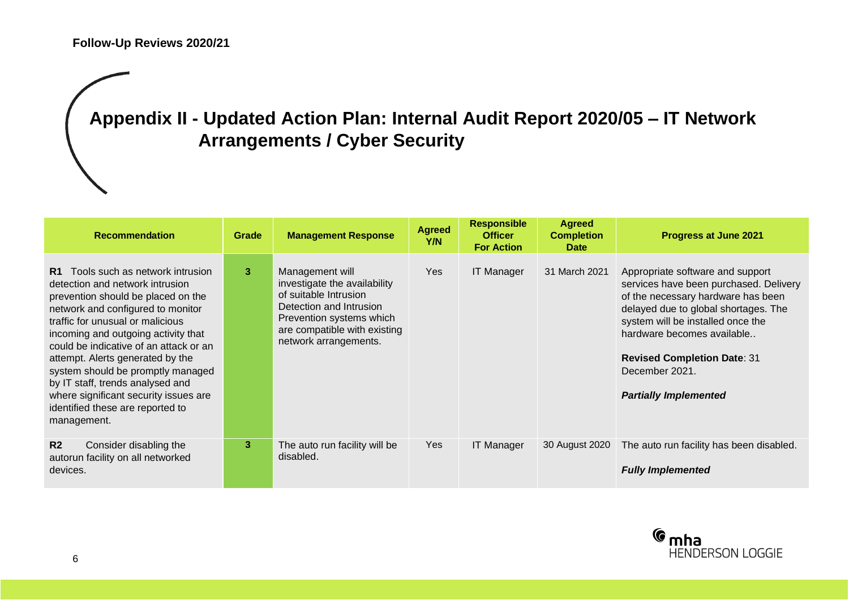## **Appendix II - Updated Action Plan: Internal Audit Report 2020/05 – IT Network Arrangements / Cyber Security**

| <b>Recommendation</b>                                                                                                                                                                                                                                                                                                                                                                                                                                                              | Grade          | <b>Management Response</b>                                                                                                                                                               | <b>Agreed</b><br>Y/N | <b>Responsible</b><br><b>Officer</b><br><b>For Action</b> | <b>Agreed</b><br><b>Completion</b><br><b>Date</b> | Progress at June 2021                                                                                                                                                                                                                                                                                               |
|------------------------------------------------------------------------------------------------------------------------------------------------------------------------------------------------------------------------------------------------------------------------------------------------------------------------------------------------------------------------------------------------------------------------------------------------------------------------------------|----------------|------------------------------------------------------------------------------------------------------------------------------------------------------------------------------------------|----------------------|-----------------------------------------------------------|---------------------------------------------------|---------------------------------------------------------------------------------------------------------------------------------------------------------------------------------------------------------------------------------------------------------------------------------------------------------------------|
| Tools such as network intrusion<br>R1.<br>detection and network intrusion<br>prevention should be placed on the<br>network and configured to monitor<br>traffic for unusual or malicious<br>incoming and outgoing activity that<br>could be indicative of an attack or an<br>attempt. Alerts generated by the<br>system should be promptly managed<br>by IT staff, trends analysed and<br>where significant security issues are<br>identified these are reported to<br>management. | 3              | Management will<br>investigate the availability<br>of suitable Intrusion<br>Detection and Intrusion<br>Prevention systems which<br>are compatible with existing<br>network arrangements. | Yes                  | <b>IT Manager</b>                                         | 31 March 2021                                     | Appropriate software and support<br>services have been purchased. Delivery<br>of the necessary hardware has been<br>delayed due to global shortages. The<br>system will be installed once the<br>hardware becomes available<br><b>Revised Completion Date: 31</b><br>December 2021.<br><b>Partially Implemented</b> |
| R <sub>2</sub><br>Consider disabling the<br>autorun facility on all networked<br>devices.                                                                                                                                                                                                                                                                                                                                                                                          | 3 <sup>2</sup> | The auto run facility will be<br>disabled.                                                                                                                                               | Yes                  | <b>IT Manager</b>                                         | 30 August 2020                                    | The auto run facility has been disabled.<br><b>Fully Implemented</b>                                                                                                                                                                                                                                                |

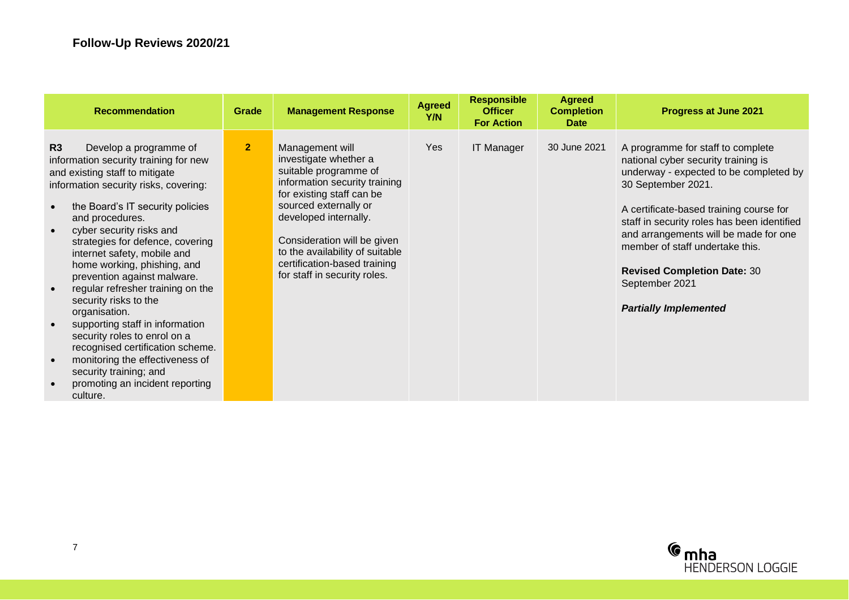| <b>Recommendation</b>                                                                                                                                                                                                                                                                                                                                                                                                                                                                                                                                                                                                                                                               | Grade          | <b>Management Response</b>                                                                                                                                                                                                                                                                                          | <b>Agreed</b><br>Y/N | <b>Responsible</b><br><b>Officer</b><br><b>For Action</b> | <b>Agreed</b><br><b>Completion</b><br><b>Date</b> | Progress at June 2021                                                                                                                                                                                                                                                                                                                                                                                  |
|-------------------------------------------------------------------------------------------------------------------------------------------------------------------------------------------------------------------------------------------------------------------------------------------------------------------------------------------------------------------------------------------------------------------------------------------------------------------------------------------------------------------------------------------------------------------------------------------------------------------------------------------------------------------------------------|----------------|---------------------------------------------------------------------------------------------------------------------------------------------------------------------------------------------------------------------------------------------------------------------------------------------------------------------|----------------------|-----------------------------------------------------------|---------------------------------------------------|--------------------------------------------------------------------------------------------------------------------------------------------------------------------------------------------------------------------------------------------------------------------------------------------------------------------------------------------------------------------------------------------------------|
| R3<br>Develop a programme of<br>information security training for new<br>and existing staff to mitigate<br>information security risks, covering:<br>the Board's IT security policies<br>and procedures.<br>cyber security risks and<br>$\bullet$<br>strategies for defence, covering<br>internet safety, mobile and<br>home working, phishing, and<br>prevention against malware.<br>regular refresher training on the<br>security risks to the<br>organisation.<br>supporting staff in information<br>security roles to enrol on a<br>recognised certification scheme.<br>monitoring the effectiveness of<br>security training; and<br>promoting an incident reporting<br>culture. | 2 <sup>1</sup> | Management will<br>investigate whether a<br>suitable programme of<br>information security training<br>for existing staff can be<br>sourced externally or<br>developed internally.<br>Consideration will be given<br>to the availability of suitable<br>certification-based training<br>for staff in security roles. | Yes                  | <b>IT Manager</b>                                         | 30 June 2021                                      | A programme for staff to complete<br>national cyber security training is<br>underway - expected to be completed by<br>30 September 2021.<br>A certificate-based training course for<br>staff in security roles has been identified<br>and arrangements will be made for one<br>member of staff undertake this.<br><b>Revised Completion Date: 30</b><br>September 2021<br><b>Partially Implemented</b> |

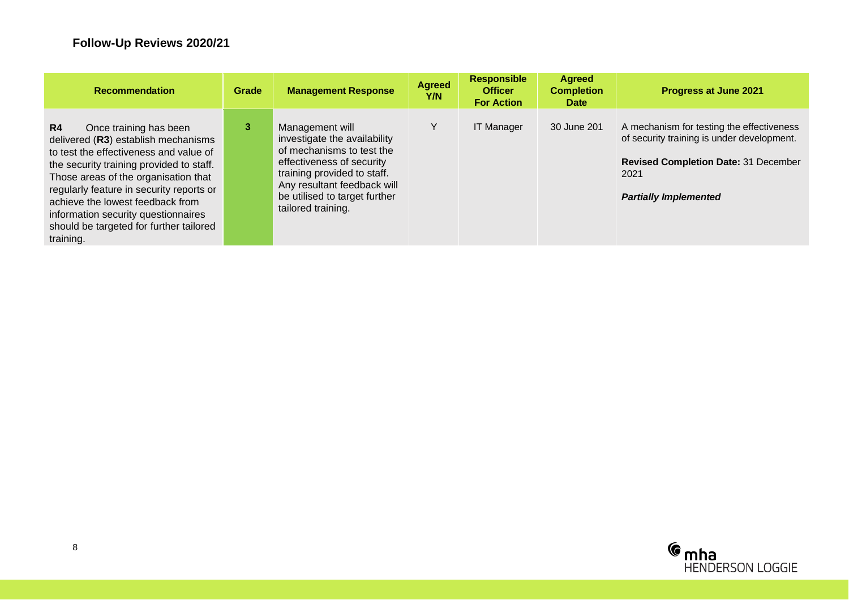| <b>Recommendation</b>                                                                                                                                                                                                                                                                                                                                                                        | Grade | <b>Management Response</b>                                                                                                                                                                                                     | <b>Agreed</b><br>Y/N | <b>Responsible</b><br><b>Officer</b><br><b>For Action</b> | <b>Agreed</b><br><b>Completion</b><br><b>Date</b> | Progress at June 2021                                                                                                                                                   |
|----------------------------------------------------------------------------------------------------------------------------------------------------------------------------------------------------------------------------------------------------------------------------------------------------------------------------------------------------------------------------------------------|-------|--------------------------------------------------------------------------------------------------------------------------------------------------------------------------------------------------------------------------------|----------------------|-----------------------------------------------------------|---------------------------------------------------|-------------------------------------------------------------------------------------------------------------------------------------------------------------------------|
| R <sub>4</sub><br>Once training has been<br>delivered (R3) establish mechanisms<br>to test the effectiveness and value of<br>the security training provided to staff.<br>Those areas of the organisation that<br>regularly feature in security reports or<br>achieve the lowest feedback from<br>information security questionnaires<br>should be targeted for further tailored<br>training. | 3     | Management will<br>investigate the availability<br>of mechanisms to test the<br>effectiveness of security<br>training provided to staff.<br>Any resultant feedback will<br>be utilised to target further<br>tailored training. | Y                    | <b>IT Manager</b>                                         | 30 June 201                                       | A mechanism for testing the effectiveness<br>of security training is under development.<br>Revised Completion Date: 31 December<br>2021<br><b>Partially Implemented</b> |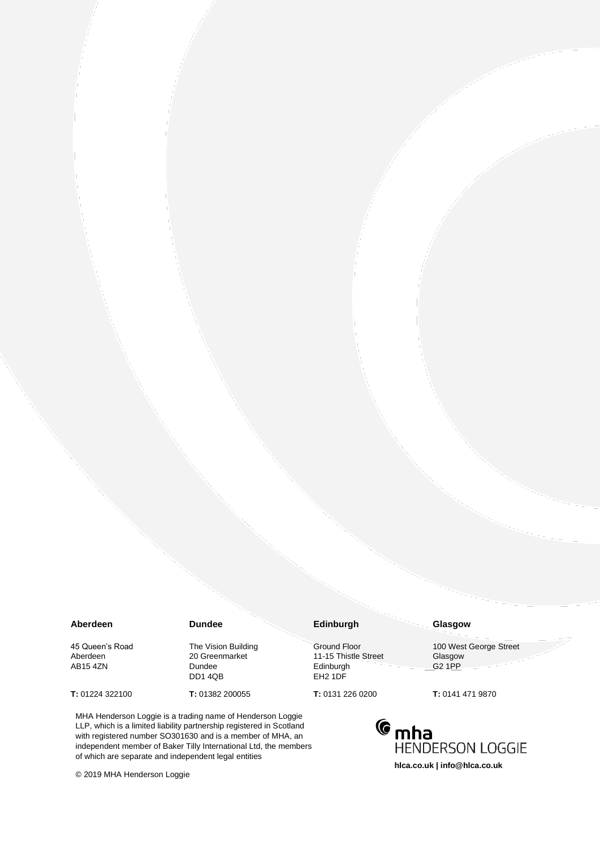#### **Aberdeen**

45 Queen's Road Aberdeen AB15 4ZN

**T:** 01224 322100

The Vision Building 20 Greenmarket Dundee

**T:** 01382 200055

**Dundee**

DD1 4QB

#### **Edinburgh**

Ground Floor 11-15 Thistle Street Edinburgh EH2 1DF

**T:** 0131 226 0200

MHA Henderson Loggie is a trading name of Henderson Loggie LLP, which is a limited liability partnership registered in Scotland with registered number SO301630 and is a member of MHA, an independent member of Baker Tilly International Ltd, the members of which are separate and independent legal entities

© 2019 MHA Henderson Loggie

100 West George Street

Glasgow G2 1PP

**Glasgow**

**T:** 0141 471 9870

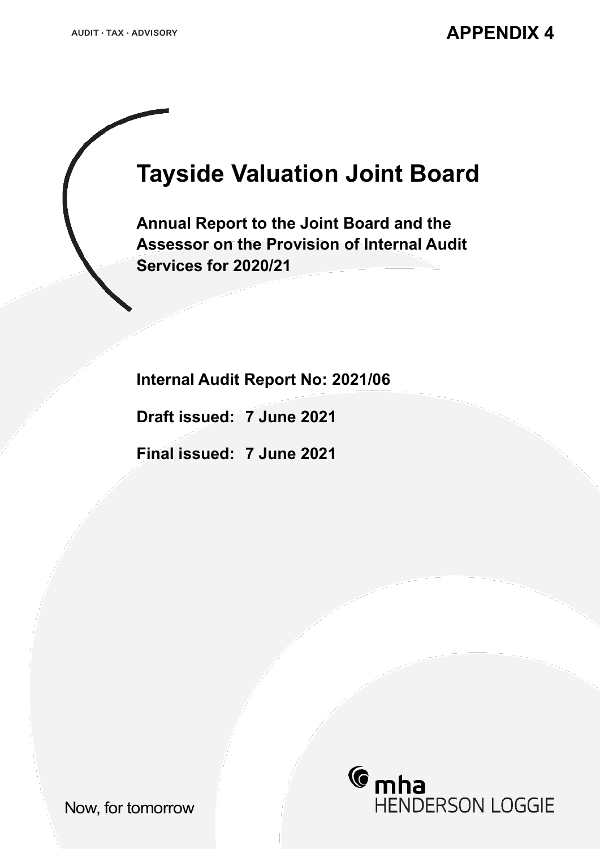# **Tayside Valuation Joint Board**

**Annual Report to the Joint Board and the Assessor on the Provision of Internal Audit Services for 2020/21**

**Internal Audit Report No: 2021/06**

**Draft issued: 7 June 2021**

**Final issued: 7 June 2021**



Now, for tomorrow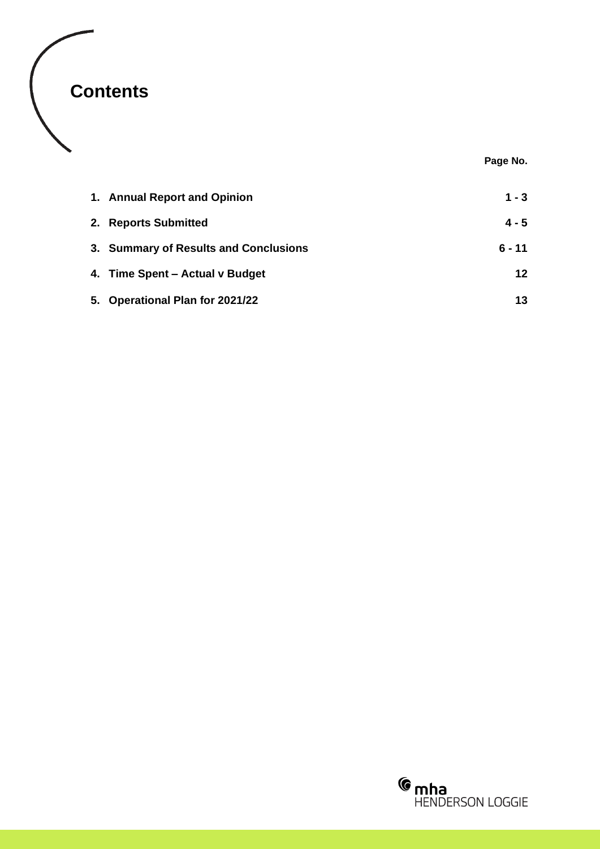

**Page No.**

| 1. Annual Report and Opinion          | $1 - 3$  |
|---------------------------------------|----------|
| 2. Reports Submitted                  | $4 - 5$  |
| 3. Summary of Results and Conclusions | $6 - 11$ |
| 4. Time Spent – Actual v Budget       | 12       |
| 5. Operational Plan for 2021/22       | 13       |

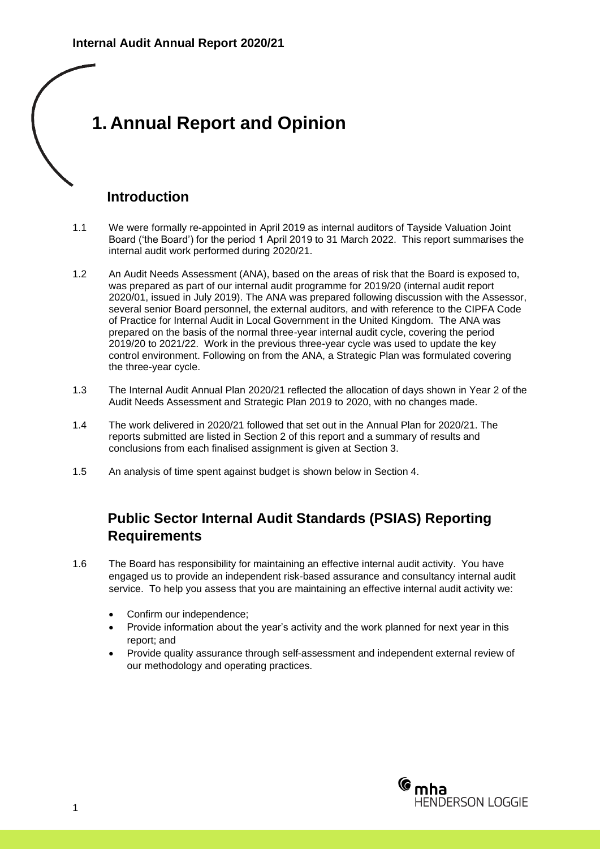## **1. Annual Report and Opinion**

### **Introduction**

- 1.1 We were formally re-appointed in April 2019 as internal auditors of Tayside Valuation Joint Board ('the Board') for the period 1 April 2019 to 31 March 2022. This report summarises the internal audit work performed during 2020/21.
- 1.2 An Audit Needs Assessment (ANA), based on the areas of risk that the Board is exposed to, was prepared as part of our internal audit programme for 2019/20 (internal audit report 2020/01, issued in July 2019). The ANA was prepared following discussion with the Assessor, several senior Board personnel, the external auditors, and with reference to the CIPFA Code of Practice for Internal Audit in Local Government in the United Kingdom. The ANA was prepared on the basis of the normal three-year internal audit cycle, covering the period 2019/20 to 2021/22. Work in the previous three-year cycle was used to update the key control environment. Following on from the ANA, a Strategic Plan was formulated covering the three-year cycle.
- 1.3 The Internal Audit Annual Plan 2020/21 reflected the allocation of days shown in Year 2 of the Audit Needs Assessment and Strategic Plan 2019 to 2020, with no changes made.
- 1.4 The work delivered in 2020/21 followed that set out in the Annual Plan for 2020/21. The reports submitted are listed in Section 2 of this report and a summary of results and conclusions from each finalised assignment is given at Section 3.
- 1.5 An analysis of time spent against budget is shown below in Section 4.

### **Public Sector Internal Audit Standards (PSIAS) Reporting Requirements**

- 1.6 The Board has responsibility for maintaining an effective internal audit activity. You have engaged us to provide an independent risk-based assurance and consultancy internal audit service. To help you assess that you are maintaining an effective internal audit activity we:
	- Confirm our independence:
	- Provide information about the year's activity and the work planned for next year in this report; and
	- Provide quality assurance through self-assessment and independent external review of our methodology and operating practices.

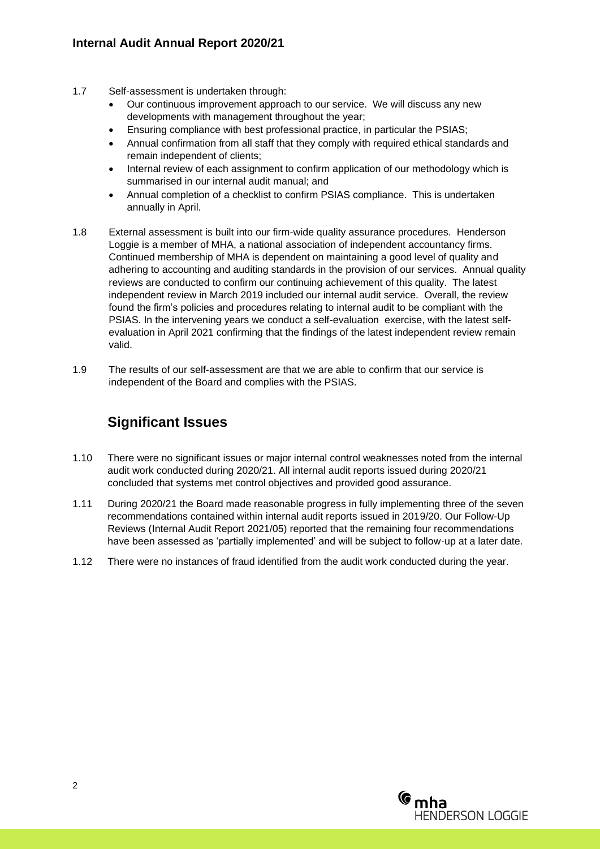#### **Internal Audit Annual Report 2020/21**

- 1.7 Self-assessment is undertaken through:
	- Our continuous improvement approach to our service. We will discuss any new developments with management throughout the year;
	- Ensuring compliance with best professional practice, in particular the PSIAS;
	- Annual confirmation from all staff that they comply with required ethical standards and remain independent of clients;
	- Internal review of each assignment to confirm application of our methodology which is summarised in our internal audit manual; and
	- Annual completion of a checklist to confirm PSIAS compliance. This is undertaken annually in April.
- 1.8 External assessment is built into our firm-wide quality assurance procedures. Henderson Loggie is a member of MHA, a national association of independent accountancy firms. Continued membership of MHA is dependent on maintaining a good level of quality and adhering to accounting and auditing standards in the provision of our services. Annual quality reviews are conducted to confirm our continuing achievement of this quality. The latest independent review in March 2019 included our internal audit service. Overall, the review found the firm's policies and procedures relating to internal audit to be compliant with the PSIAS. In the intervening years we conduct a self-evaluation exercise, with the latest selfevaluation in April 2021 confirming that the findings of the latest independent review remain valid.
- 1.9 The results of our self-assessment are that we are able to confirm that our service is independent of the Board and complies with the PSIAS.

### **Significant Issues**

- 1.10 There were no significant issues or major internal control weaknesses noted from the internal audit work conducted during 2020/21. All internal audit reports issued during 2020/21 concluded that systems met control objectives and provided good assurance.
- 1.11 During 2020/21 the Board made reasonable progress in fully implementing three of the seven recommendations contained within internal audit reports issued in 2019/20. Our Follow-Up Reviews (Internal Audit Report 2021/05) reported that the remaining four recommendations have been assessed as 'partially implemented' and will be subject to follow-up at a later date.
- 1.12 There were no instances of fraud identified from the audit work conducted during the year.

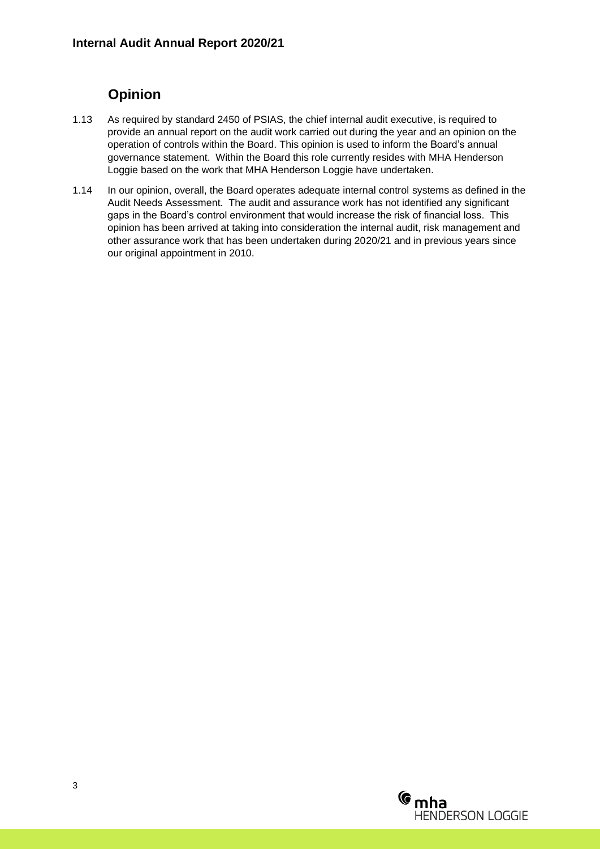### **Opinion**

- 1.13 As required by standard 2450 of PSIAS, the chief internal audit executive, is required to provide an annual report on the audit work carried out during the year and an opinion on the operation of controls within the Board. This opinion is used to inform the Board's annual governance statement. Within the Board this role currently resides with MHA Henderson Loggie based on the work that MHA Henderson Loggie have undertaken.
- 1.14 In our opinion, overall, the Board operates adequate internal control systems as defined in the Audit Needs Assessment. The audit and assurance work has not identified any significant gaps in the Board's control environment that would increase the risk of financial loss. This opinion has been arrived at taking into consideration the internal audit, risk management and other assurance work that has been undertaken during 2020/21 and in previous years since our original appointment in 2010.

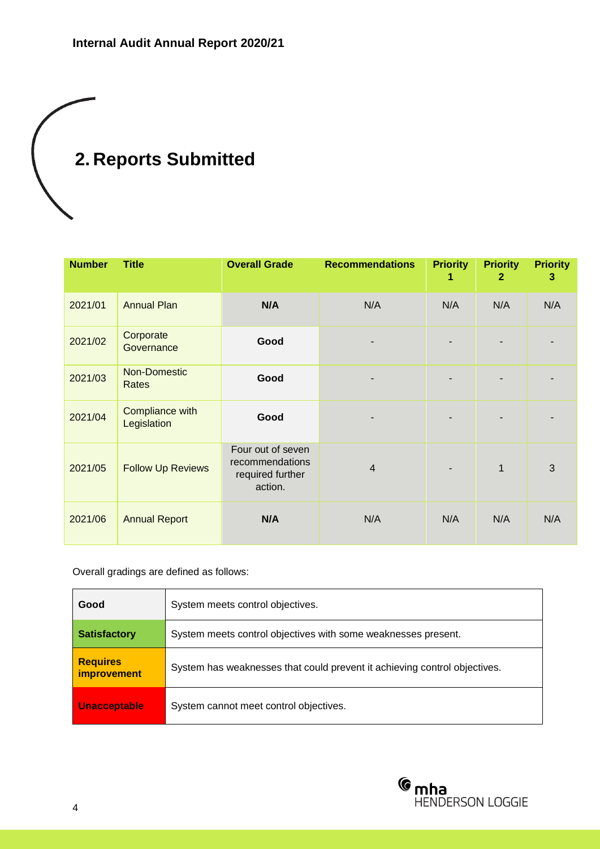# **2. Reports Submitted**

| <b>Number</b> | <b>Title</b>                   | <b>Overall Grade</b>                                                | <b>Recommendations</b> | <b>Priority</b><br>1 | <b>Priority</b><br>$\mathbf{2}$ | <b>Priority</b><br>3 |
|---------------|--------------------------------|---------------------------------------------------------------------|------------------------|----------------------|---------------------------------|----------------------|
| 2021/01       | <b>Annual Plan</b>             | N/A                                                                 | N/A                    | N/A                  | N/A                             | N/A                  |
| 2021/02       | Corporate<br>Governance        | Good                                                                |                        |                      |                                 |                      |
| 2021/03       | Non-Domestic<br>Rates          | Good                                                                |                        |                      |                                 |                      |
| 2021/04       | Compliance with<br>Legislation | Good                                                                |                        |                      |                                 |                      |
| 2021/05       | <b>Follow Up Reviews</b>       | Four out of seven<br>recommendations<br>required further<br>action. | $\overline{4}$         |                      | $\mathbf{1}$                    | 3                    |
| 2021/06       | <b>Annual Report</b>           | N/A                                                                 | N/A                    | N/A                  | N/A                             | N/A                  |

Overall gradings are defined as follows:

| Good                                  | System meets control objectives.                                          |
|---------------------------------------|---------------------------------------------------------------------------|
| <b>Satisfactory</b>                   | System meets control objectives with some weaknesses present.             |
| <b>Requires</b><br><i>improvement</i> | System has weaknesses that could prevent it achieving control objectives. |
| <b>Unacceptable</b>                   | System cannot meet control objectives.                                    |

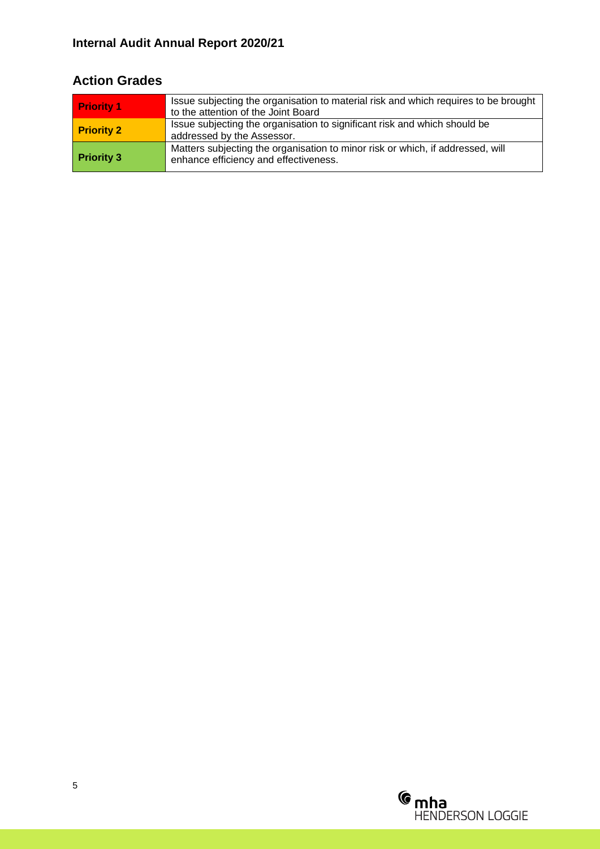### **Internal Audit Annual Report 2020/21**

### **Action Grades**

| <b>Priority 1</b> | Issue subjecting the organisation to material risk and which requires to be brought<br>to the attention of the Joint Board |
|-------------------|----------------------------------------------------------------------------------------------------------------------------|
| <b>Priority 2</b> | Issue subjecting the organisation to significant risk and which should be<br>addressed by the Assessor.                    |
| <b>Priority 3</b> | Matters subjecting the organisation to minor risk or which, if addressed, will<br>enhance efficiency and effectiveness.    |

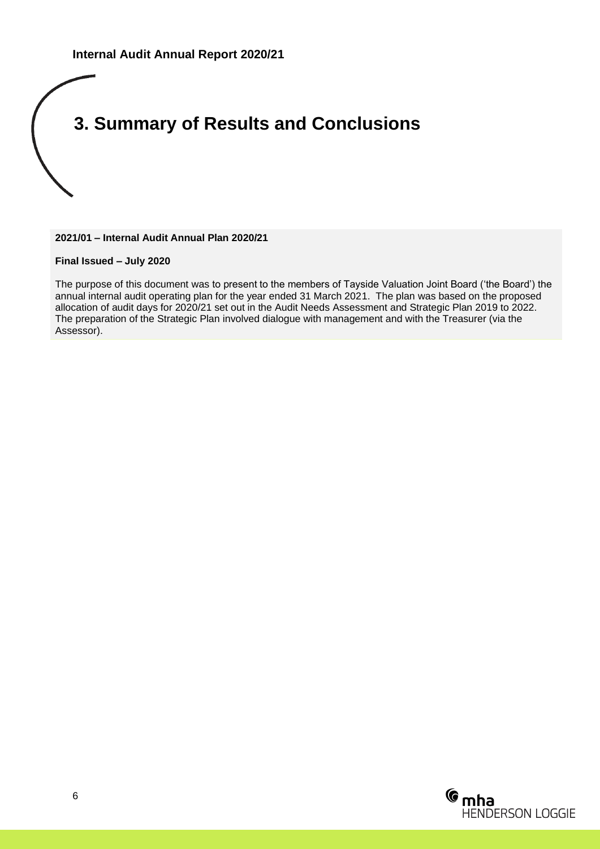## **3. Summary of Results and Conclusions**

**2021/01 – Internal Audit Annual Plan 2020/21**

**Final Issued – July 2020**

The purpose of this document was to present to the members of Tayside Valuation Joint Board ('the Board') the annual internal audit operating plan for the year ended 31 March 2021. The plan was based on the proposed allocation of audit days for 2020/21 set out in the Audit Needs Assessment and Strategic Plan 2019 to 2022. The preparation of the Strategic Plan involved dialogue with management and with the Treasurer (via the Assessor).

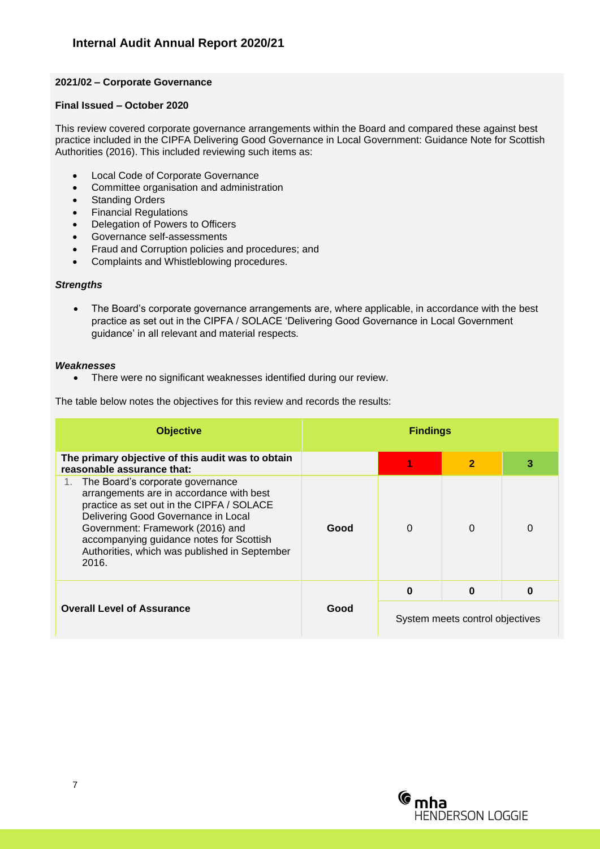#### **2021/02 – Corporate Governance**

#### **Final Issued – October 2020**

This review covered corporate governance arrangements within the Board and compared these against best practice included in the CIPFA Delivering Good Governance in Local Government: Guidance Note for Scottish Authorities (2016). This included reviewing such items as:

- Local Code of Corporate Governance
- Committee organisation and administration
- Standing Orders
- Financial Regulations
- Delegation of Powers to Officers
- Governance self-assessments
- Fraud and Corruption policies and procedures; and
- Complaints and Whistleblowing procedures.

#### *Strengths*

• The Board's corporate governance arrangements are, where applicable, in accordance with the best practice as set out in the CIPFA / SOLACE 'Delivering Good Governance in Local Government guidance' in all relevant and material respects.

#### *Weaknesses*

• There were no significant weaknesses identified during our review.

The table below notes the objectives for this review and records the results:

| <b>Objective</b>                                                                                                                                                                                                                                                                                           | <b>Findings</b> |                                 |                |          |
|------------------------------------------------------------------------------------------------------------------------------------------------------------------------------------------------------------------------------------------------------------------------------------------------------------|-----------------|---------------------------------|----------------|----------|
| The primary objective of this audit was to obtain<br>reasonable assurance that:                                                                                                                                                                                                                            |                 |                                 | $\overline{2}$ | 3        |
| The Board's corporate governance<br>arrangements are in accordance with best<br>practice as set out in the CIPFA / SOLACE<br>Delivering Good Governance in Local<br>Government: Framework (2016) and<br>accompanying guidance notes for Scottish<br>Authorities, which was published in September<br>2016. | Good            | $\Omega$                        | $\Omega$       | $\Omega$ |
|                                                                                                                                                                                                                                                                                                            |                 | $\bf{0}$                        | O              | 0        |
| <b>Overall Level of Assurance</b>                                                                                                                                                                                                                                                                          | Good            | System meets control objectives |                |          |

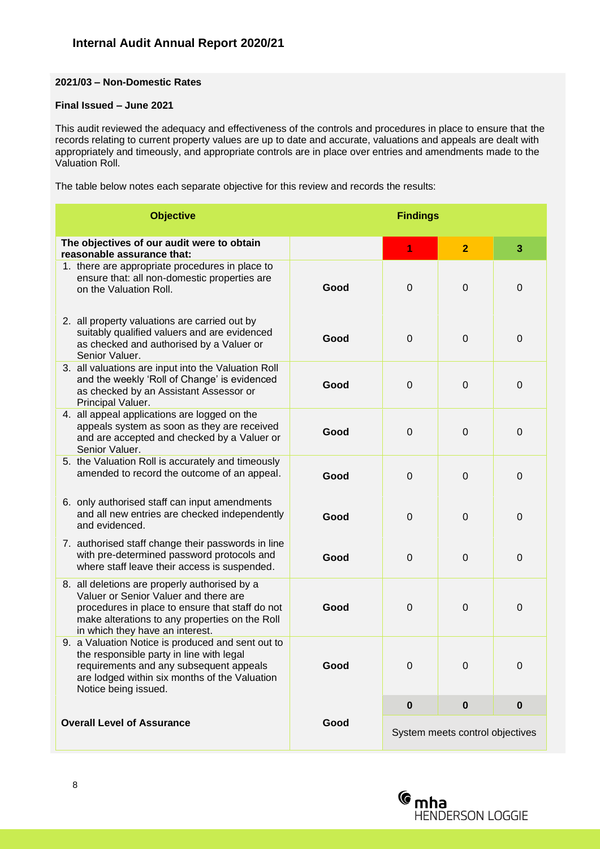#### **2021/03 – Non-Domestic Rates**

#### **Final Issued – June 2021**

This audit reviewed the adequacy and effectiveness of the controls and procedures in place to ensure that the records relating to current property values are up to date and accurate, valuations and appeals are dealt with appropriately and timeously, and appropriate controls are in place over entries and amendments made to the Valuation Roll.

The table below notes each separate objective for this review and records the results:

| <b>Objective</b>                                                                                                                                                                                                               |      | <b>Findings</b> |                                 |             |
|--------------------------------------------------------------------------------------------------------------------------------------------------------------------------------------------------------------------------------|------|-----------------|---------------------------------|-------------|
| The objectives of our audit were to obtain<br>reasonable assurance that:                                                                                                                                                       |      | 1               | $\overline{2}$                  | 3           |
| 1. there are appropriate procedures in place to<br>ensure that: all non-domestic properties are<br>on the Valuation Roll.                                                                                                      | Good | $\mathbf 0$     | $\mathbf 0$                     | $\mathbf 0$ |
| 2. all property valuations are carried out by<br>suitably qualified valuers and are evidenced<br>as checked and authorised by a Valuer or<br>Senior Valuer.                                                                    | Good | $\mathbf 0$     | 0                               | 0           |
| 3. all valuations are input into the Valuation Roll<br>and the weekly 'Roll of Change' is evidenced<br>as checked by an Assistant Assessor or<br>Principal Valuer.                                                             | Good | $\mathbf 0$     | $\mathbf 0$                     | $\mathbf 0$ |
| 4. all appeal applications are logged on the<br>appeals system as soon as they are received<br>and are accepted and checked by a Valuer or<br>Senior Valuer.                                                                   | Good | $\mathbf 0$     | $\mathbf 0$                     | 0           |
| 5. the Valuation Roll is accurately and timeously<br>amended to record the outcome of an appeal.                                                                                                                               | Good | $\mathbf 0$     | $\mathbf 0$                     | $\mathbf 0$ |
| 6. only authorised staff can input amendments<br>and all new entries are checked independently<br>and evidenced.                                                                                                               | Good | $\Omega$        | $\mathbf 0$                     | 0           |
| 7. authorised staff change their passwords in line<br>with pre-determined password protocols and<br>where staff leave their access is suspended.                                                                               | Good | $\mathbf 0$     | $\mathbf 0$                     | $\mathbf 0$ |
| 8. all deletions are properly authorised by a<br>Valuer or Senior Valuer and there are<br>procedures in place to ensure that staff do not<br>make alterations to any properties on the Roll<br>in which they have an interest. | Good | $\mathbf 0$     | $\mathbf 0$                     | $\mathbf 0$ |
| 9. a Valuation Notice is produced and sent out to<br>the responsible party in line with legal<br>requirements and any subsequent appeals<br>are lodged within six months of the Valuation<br>Notice being issued.              | Good | $\mathbf 0$     | 0                               | $\mathbf 0$ |
|                                                                                                                                                                                                                                |      | $\bf{0}$        | $\bf{0}$                        | $\bf{0}$    |
| <b>Overall Level of Assurance</b>                                                                                                                                                                                              | Good |                 | System meets control objectives |             |

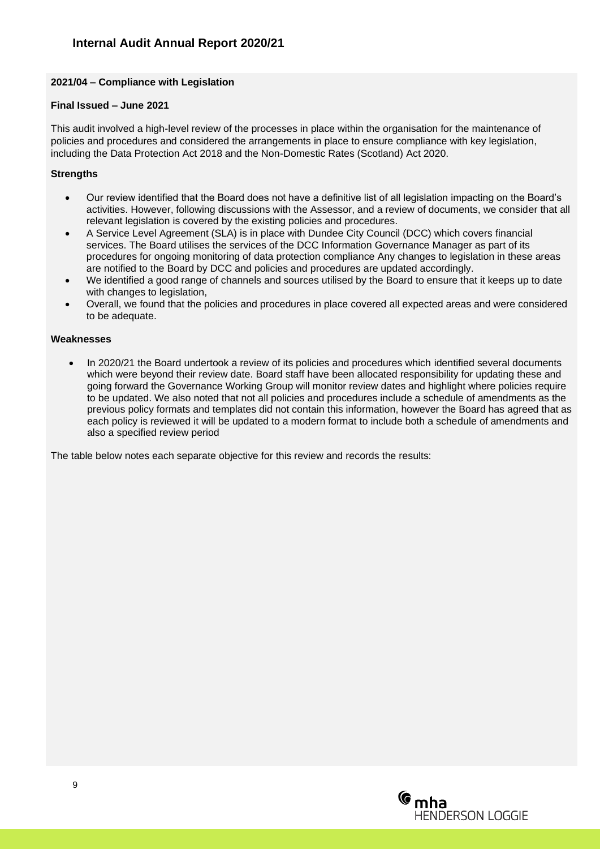#### **2021/04 – Compliance with Legislation**

#### **Final Issued – June 2021**

This audit involved a high-level review of the processes in place within the organisation for the maintenance of policies and procedures and considered the arrangements in place to ensure compliance with key legislation, including the Data Protection Act 2018 and the Non-Domestic Rates (Scotland) Act 2020.

#### **Strengths**

- Our review identified that the Board does not have a definitive list of all legislation impacting on the Board's activities. However, following discussions with the Assessor, and a review of documents, we consider that all relevant legislation is covered by the existing policies and procedures.
- A Service Level Agreement (SLA) is in place with Dundee City Council (DCC) which covers financial services. The Board utilises the services of the DCC Information Governance Manager as part of its procedures for ongoing monitoring of data protection compliance Any changes to legislation in these areas are notified to the Board by DCC and policies and procedures are updated accordingly.
- We identified a good range of channels and sources utilised by the Board to ensure that it keeps up to date with changes to legislation,
- Overall, we found that the policies and procedures in place covered all expected areas and were considered to be adequate.

#### **Weaknesses**

• In 2020/21 the Board undertook a review of its policies and procedures which identified several documents which were beyond their review date. Board staff have been allocated responsibility for updating these and going forward the Governance Working Group will monitor review dates and highlight where policies require to be updated. We also noted that not all policies and procedures include a schedule of amendments as the previous policy formats and templates did not contain this information, however the Board has agreed that as each policy is reviewed it will be updated to a modern format to include both a schedule of amendments and also a specified review period

The table below notes each separate objective for this review and records the results:

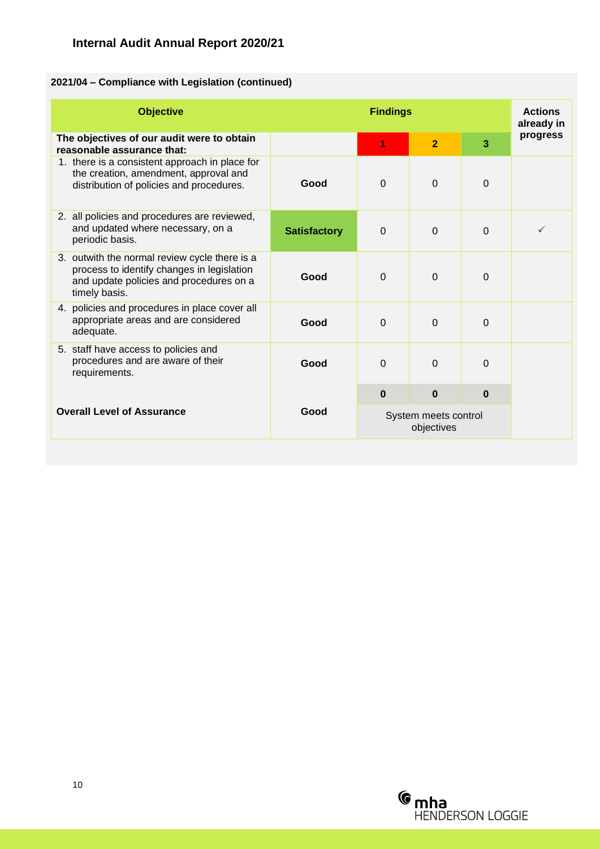### **Internal Audit Annual Report 2020/21**

#### **2021/04 – Compliance with Legislation (continued)**

| <b>Objective</b>                                                                                                                                        | <b>Findings</b>     |                                    |                | <b>Actions</b><br>already in |          |
|---------------------------------------------------------------------------------------------------------------------------------------------------------|---------------------|------------------------------------|----------------|------------------------------|----------|
| The objectives of our audit were to obtain<br>reasonable assurance that:                                                                                |                     | 1                                  | $\overline{2}$ | 3                            | progress |
| 1. there is a consistent approach in place for<br>the creation, amendment, approval and<br>distribution of policies and procedures.                     | Good                | $\Omega$                           | $\Omega$       | $\Omega$                     |          |
| 2. all policies and procedures are reviewed,<br>and updated where necessary, on a<br>periodic basis.                                                    | <b>Satisfactory</b> | $\Omega$                           | $\Omega$       | $\Omega$                     | ✓        |
| 3. outwith the normal review cycle there is a<br>process to identify changes in legislation<br>and update policies and procedures on a<br>timely basis. | Good                | $\Omega$                           | 0              | $\Omega$                     |          |
| 4. policies and procedures in place cover all<br>appropriate areas and are considered<br>adequate.                                                      | Good                | $\Omega$                           | $\Omega$       | $\Omega$                     |          |
| 5. staff have access to policies and<br>procedures and are aware of their<br>requirements.                                                              | Good                | $\Omega$                           | $\Omega$       | $\overline{0}$               |          |
|                                                                                                                                                         | Good                | $\bf{0}$                           | $\bf{0}$       | $\bf{0}$                     |          |
| <b>Overall Level of Assurance</b>                                                                                                                       |                     | System meets control<br>objectives |                |                              |          |

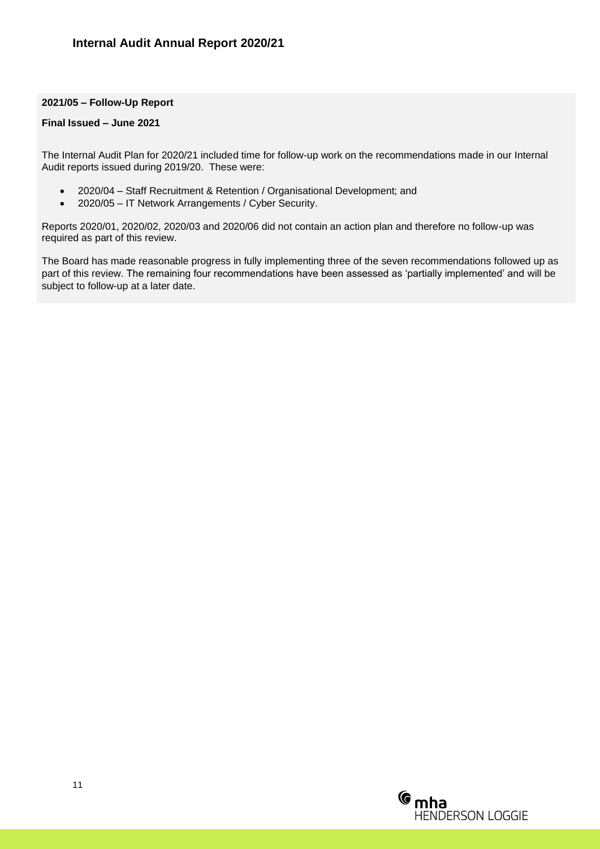#### **2021/05 – Follow-Up Report**

#### **Final Issued – June 2021**

The Internal Audit Plan for 2020/21 included time for follow-up work on the recommendations made in our Internal Audit reports issued during 2019/20. These were:

- 2020/04 Staff Recruitment & Retention / Organisational Development; and
- 2020/05 IT Network Arrangements / Cyber Security.

Reports 2020/01, 2020/02, 2020/03 and 2020/06 did not contain an action plan and therefore no follow-up was required as part of this review.

The Board has made reasonable progress in fully implementing three of the seven recommendations followed up as part of this review. The remaining four recommendations have been assessed as 'partially implemented' and will be subject to follow-up at a later date.

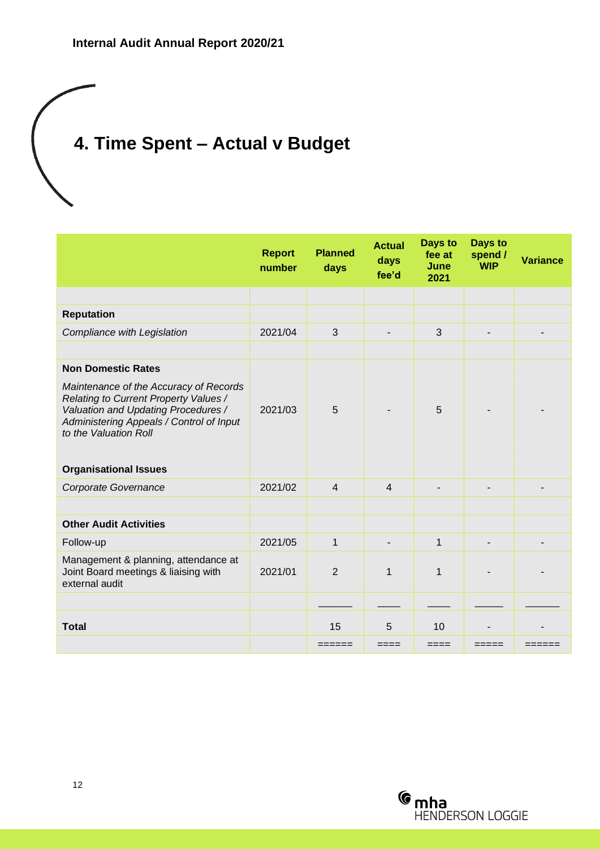## **4. Time Spent – Actual v Budget**

|                                                                                                                                                                                             | <b>Report</b><br>number | <b>Planned</b><br>days | <b>Actual</b><br>days<br>fee'd | Days to<br>fee at<br>June<br>2021 | Days to<br>spend /<br><b>WIP</b> | <b>Variance</b> |
|---------------------------------------------------------------------------------------------------------------------------------------------------------------------------------------------|-------------------------|------------------------|--------------------------------|-----------------------------------|----------------------------------|-----------------|
|                                                                                                                                                                                             |                         |                        |                                |                                   |                                  |                 |
| <b>Reputation</b>                                                                                                                                                                           |                         |                        |                                |                                   |                                  |                 |
| Compliance with Legislation                                                                                                                                                                 | 2021/04                 | 3                      |                                | 3                                 |                                  |                 |
|                                                                                                                                                                                             |                         |                        |                                |                                   |                                  |                 |
| <b>Non Domestic Rates</b>                                                                                                                                                                   |                         |                        |                                |                                   |                                  |                 |
| Maintenance of the Accuracy of Records<br>Relating to Current Property Values /<br>Valuation and Updating Procedures /<br>Administering Appeals / Control of Input<br>to the Valuation Roll | 2021/03                 | 5                      |                                | 5                                 |                                  |                 |
|                                                                                                                                                                                             |                         |                        |                                |                                   |                                  |                 |
| <b>Organisational Issues</b>                                                                                                                                                                |                         |                        |                                |                                   |                                  |                 |
| Corporate Governance                                                                                                                                                                        | 2021/02                 | $\overline{4}$         | $\overline{4}$                 |                                   |                                  |                 |
|                                                                                                                                                                                             |                         |                        |                                |                                   |                                  |                 |
| <b>Other Audit Activities</b>                                                                                                                                                               |                         |                        |                                |                                   |                                  |                 |
| Follow-up                                                                                                                                                                                   | 2021/05                 | 1                      |                                | $\mathbf 1$                       |                                  |                 |
| Management & planning, attendance at<br>Joint Board meetings & liaising with<br>external audit                                                                                              | 2021/01                 | $\overline{2}$         | $\mathbf 1$                    | $\mathbf 1$                       |                                  |                 |
|                                                                                                                                                                                             |                         |                        |                                |                                   |                                  |                 |
| <b>Total</b>                                                                                                                                                                                |                         | 15                     | 5                              | 10                                |                                  |                 |
|                                                                                                                                                                                             |                         | -------                | ====                           | ====                              |                                  |                 |

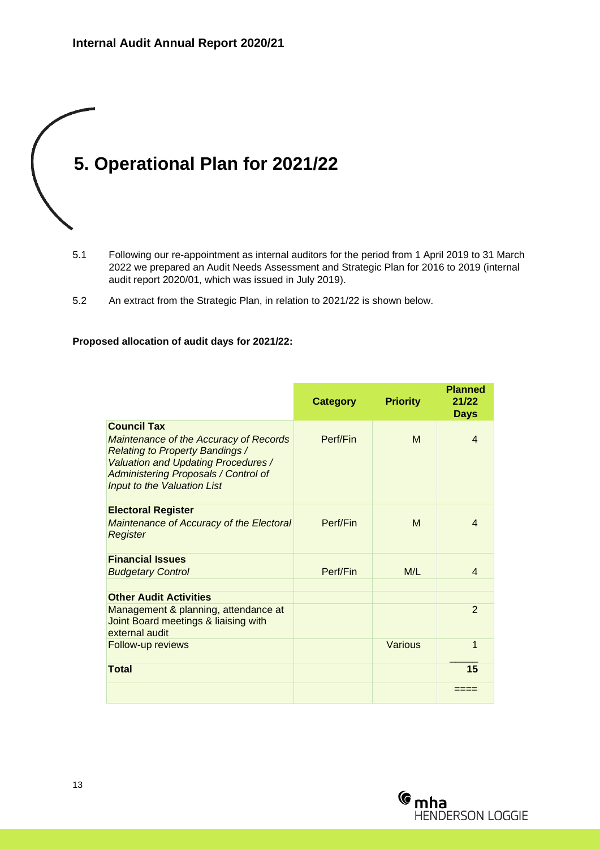## **5. Operational Plan for 2021/22**

- 5.1 Following our re-appointment as internal auditors for the period from 1 April 2019 to 31 March 2022 we prepared an Audit Needs Assessment and Strategic Plan for 2016 to 2019 (internal audit report 2020/01, which was issued in July 2019).
- 5.2 An extract from the Strategic Plan, in relation to 2021/22 is shown below.

#### **Proposed allocation of audit days for 2021/22:**

|                                                                                                                                                                                                                     | <b>Category</b> | <b>Priority</b> | <b>Planned</b><br>21/22<br><b>Days</b> |
|---------------------------------------------------------------------------------------------------------------------------------------------------------------------------------------------------------------------|-----------------|-----------------|----------------------------------------|
| <b>Council Tax</b>                                                                                                                                                                                                  |                 |                 |                                        |
| <b>Maintenance of the Accuracy of Records</b><br><b>Relating to Property Bandings /</b><br><b>Valuation and Updating Procedures /</b><br><b>Administering Proposals / Control of</b><br>Input to the Valuation List | Perf/Fin        | M               | $\overline{\mathcal{A}}$               |
| <b>Electoral Register</b>                                                                                                                                                                                           |                 |                 |                                        |
| <b>Maintenance of Accuracy of the Electoral</b><br>Register                                                                                                                                                         | Perf/Fin        | M               | $\overline{\mathcal{A}}$               |
|                                                                                                                                                                                                                     |                 |                 |                                        |
| <b>Financial Issues</b>                                                                                                                                                                                             |                 |                 |                                        |
| <b>Budgetary Control</b>                                                                                                                                                                                            | Perf/Fin        | M/L             | $\overline{\mathcal{A}}$               |
|                                                                                                                                                                                                                     |                 |                 |                                        |
| <b>Other Audit Activities</b>                                                                                                                                                                                       |                 |                 |                                        |
| Management & planning, attendance at<br>Joint Board meetings & liaising with<br>external audit                                                                                                                      |                 |                 | $\mathcal{P}$                          |
| Follow-up reviews                                                                                                                                                                                                   |                 | Various         | 1                                      |
|                                                                                                                                                                                                                     |                 |                 |                                        |
| <b>Total</b>                                                                                                                                                                                                        |                 |                 | 15                                     |
|                                                                                                                                                                                                                     |                 |                 |                                        |